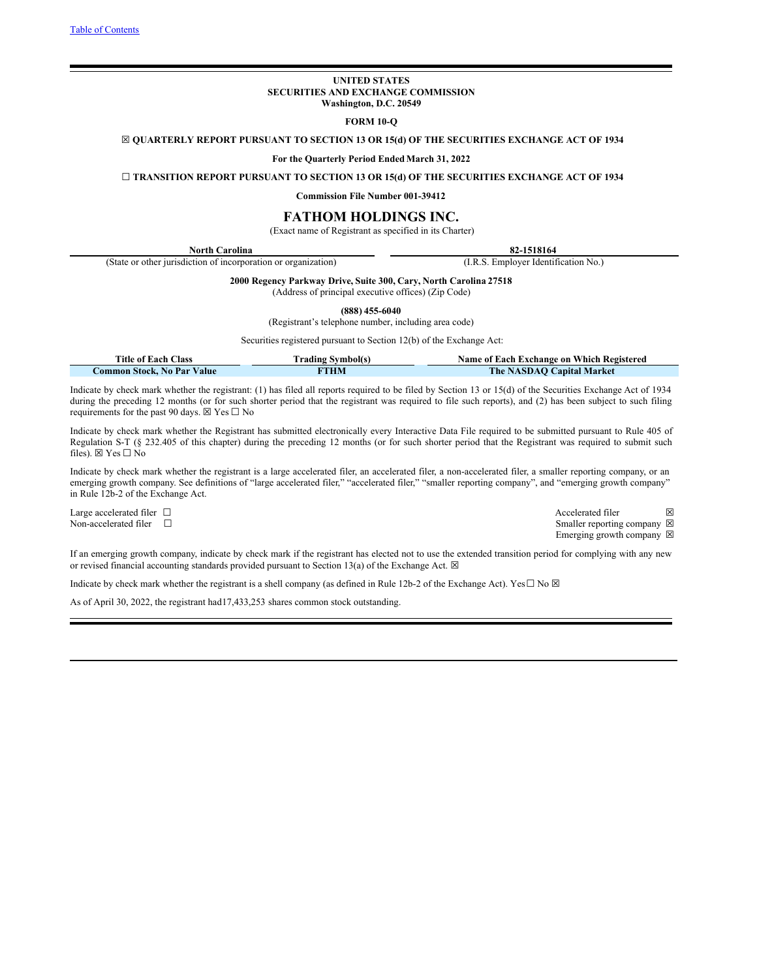### **UNITED STATES SECURITIES AND EXCHANGE COMMISSION Washington, D.C. 20549**

# **FORM 10-Q**

<span id="page-0-0"></span>☒ **QUARTERLY REPORT PURSUANT TO SECTION 13 OR 15(d) OF THE SECURITIES EXCHANGE ACT OF 1934**

**For the Quarterly Period Ended March 31, 2022**

☐ **TRANSITION REPORT PURSUANT TO SECTION 13 OR 15(d) OF THE SECURITIES EXCHANGE ACT OF 1934**

**Commission File Number 001-39412**

# **FATHOM HOLDINGS INC.**

(Exact name of Registrant as specified in its Charter)

| North Carolina                                                 | 82-1518164                           |
|----------------------------------------------------------------|--------------------------------------|
| (State or other jurisdiction of incorporation or organization) | (I.R.S. Employer Identification No.) |

**2000 Regency Parkway Drive, Suite 300, Cary, North Carolina 27518**

(Address of principal executive offices) (Zip Code)

**(888) 455-6040**

(Registrant's telephone number, including area code)

Securities registered pursuant to Section 12(b) of the Exchange Act:

| Title of Each Class        | <b>Trading Symbol(s)</b> | Name of Each Exchange on Which Registered |
|----------------------------|--------------------------|-------------------------------------------|
| Common Stock. No Par Value | <b>FTHM</b>              | The NASDAQ Capital Market                 |

Indicate by check mark whether the registrant: (1) has filed all reports required to be filed by Section 13 or 15(d) of the Securities Exchange Act of 1934 during the preceding 12 months (or for such shorter period that the registrant was required to file such reports), and (2) has been subject to such filing requirements for the past 90 days.  $\boxtimes$  Yes  $\Box$  No

Indicate by check mark whether the Registrant has submitted electronically every Interactive Data File required to be submitted pursuant to Rule 405 of Regulation S-T (§ 232.405 of this chapter) during the preceding 12 months (or for such shorter period that the Registrant was required to submit such files).  $\boxtimes$  Yes  $\Box$  No

Indicate by check mark whether the registrant is a large accelerated filer, an accelerated filer, a non-accelerated filer, a smaller reporting company, or an emerging growth company. See definitions of "large accelerated filer," "accelerated filer," "smaller reporting company", and "emerging growth company" in Rule 12b-2 of the Exchange Act.

Large accelerated filer □<br>
Non-accelerated filer □<br>
Smaller renorting company ⊠ Smaller reporting company  $\boxtimes$ Emerging growth company  $\boxtimes$ 

If an emerging growth company, indicate by check mark if the registrant has elected not to use the extended transition period for complying with any new or revised financial accounting standards provided pursuant to Section 13(a) of the Exchange Act.  $\boxtimes$ 

Indicate by check mark whether the registrant is a shell company (as defined in Rule 12b-2 of the Exchange Act). Yes $\Box$  No  $\boxtimes$ 

As of April 30, 2022, the registrant had17,433,253 shares common stock outstanding.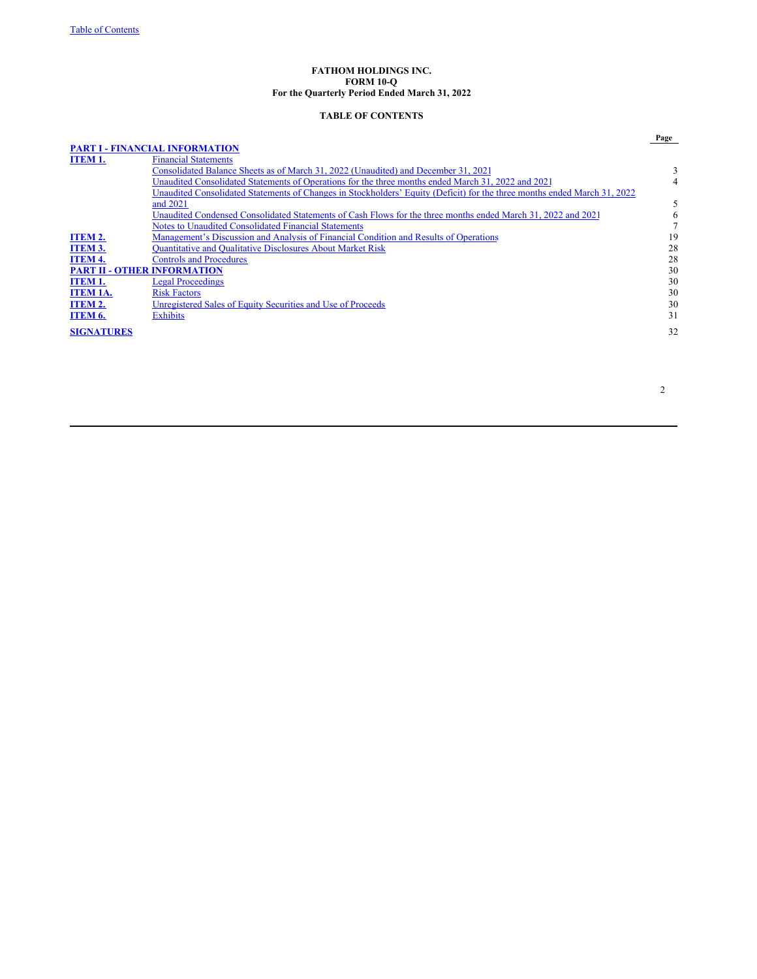### **FATHOM HOLDINGS INC. FORM 10-Q For the Quarterly Period Ended March 31, 2022**

# **TABLE OF CONTENTS**

|                   |                                                                                                                          | Page |
|-------------------|--------------------------------------------------------------------------------------------------------------------------|------|
|                   | <b>PART I - FINANCIAL INFORMATION</b>                                                                                    |      |
| <b>ITEM 1.</b>    | <b>Financial Statements</b>                                                                                              |      |
|                   | Consolidated Balance Sheets as of March 31, 2022 (Unaudited) and December 31, 2021                                       |      |
|                   | Unaudited Consolidated Statements of Operations for the three months ended March 31, 2022 and 2021                       |      |
|                   | Unaudited Consolidated Statements of Changes in Stockholders' Equity (Deficit) for the three months ended March 31, 2022 |      |
|                   | and 2021                                                                                                                 |      |
|                   | Unaudited Condensed Consolidated Statements of Cash Flows for the three months ended March 31, 2022 and 2021             |      |
|                   | <b>Notes to Unaudited Consolidated Financial Statements</b>                                                              |      |
| ITEM 2.           | Management's Discussion and Analysis of Financial Condition and Results of Operations                                    | 19   |
| <b>ITEM 3.</b>    | <b>Quantitative and Qualitative Disclosures About Market Risk</b>                                                        | 28   |
| ITEM 4.           | <b>Controls and Procedures</b>                                                                                           | 28   |
|                   | <b>PART II - OTHER INFORMATION</b>                                                                                       | 30   |
| ITEM 1.           | <b>Legal Proceedings</b>                                                                                                 | 30   |
| ITEM 1A.          | <b>Risk Factors</b>                                                                                                      | 30   |
| ITEM 2.           | Unregistered Sales of Equity Securities and Use of Proceeds                                                              | 30   |
| ITEM 6.           | <b>Exhibits</b>                                                                                                          | 31   |
| <b>SIGNATURES</b> |                                                                                                                          | 32   |
|                   |                                                                                                                          |      |

2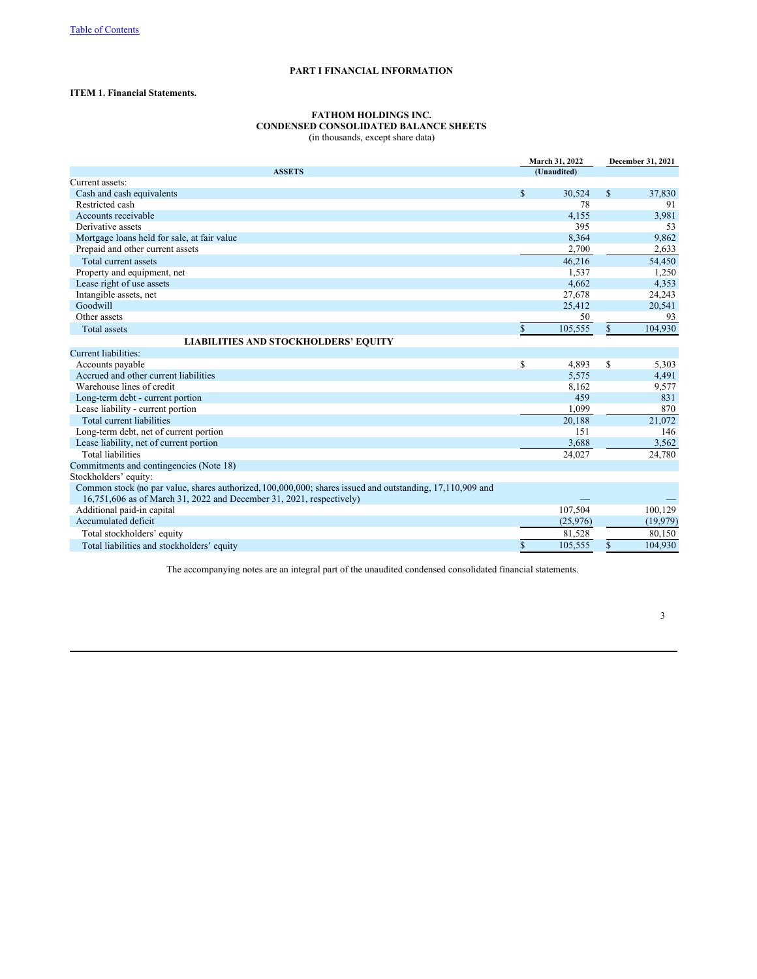# **PART I FINANCIAL INFORMATION**

# **ITEM 1. Financial Statements.**

### **FATHOM HOLDINGS INC. CONDENSED CONSOLIDATED BALANCE SHEETS** (in thousands, except share data)

|                                                                                                           | March 31, 2022 |          | December 31, 2021 |          |  |
|-----------------------------------------------------------------------------------------------------------|----------------|----------|-------------------|----------|--|
| <b>ASSETS</b>                                                                                             | (Unaudited)    |          |                   |          |  |
| Current assets:                                                                                           |                |          |                   |          |  |
| Cash and cash equivalents                                                                                 | \$             | 30,524   | $\mathbb{S}$      | 37,830   |  |
| Restricted cash                                                                                           |                | 78       |                   | 91       |  |
| Accounts receivable                                                                                       |                | 4,155    |                   | 3,981    |  |
| Derivative assets                                                                                         |                | 395      |                   | 53       |  |
| Mortgage loans held for sale, at fair value                                                               |                | 8,364    |                   | 9,862    |  |
| Prepaid and other current assets                                                                          |                | 2.700    |                   | 2,633    |  |
| Total current assets                                                                                      |                | 46,216   |                   | 54,450   |  |
| Property and equipment, net                                                                               |                | 1,537    |                   | 1,250    |  |
| Lease right of use assets                                                                                 |                | 4,662    |                   | 4,353    |  |
| Intangible assets, net                                                                                    |                | 27,678   |                   | 24,243   |  |
| Goodwill                                                                                                  |                | 25,412   |                   | 20,541   |  |
| Other assets                                                                                              |                | 50       |                   | 93       |  |
| <b>Total assets</b>                                                                                       | \$             | 105,555  | $\mathbb{S}$      | 104,930  |  |
| <b>LIABILITIES AND STOCKHOLDERS' EQUITY</b>                                                               |                |          |                   |          |  |
| Current liabilities:                                                                                      |                |          |                   |          |  |
| Accounts payable                                                                                          | \$             | 4,893    | S.                | 5,303    |  |
| Accrued and other current liabilities                                                                     |                | 5,575    |                   | 4,491    |  |
| Warehouse lines of credit                                                                                 |                | 8,162    |                   | 9,577    |  |
| Long-term debt - current portion                                                                          |                | 459      |                   | 831      |  |
| Lease liability - current portion                                                                         |                | 1,099    |                   | 870      |  |
| <b>Total current liabilities</b>                                                                          |                | 20,188   |                   | 21,072   |  |
| Long-term debt, net of current portion                                                                    |                | 151      |                   | 146      |  |
| Lease liability, net of current portion                                                                   |                | 3,688    |                   | 3,562    |  |
| <b>Total liabilities</b>                                                                                  |                | 24,027   |                   | 24,780   |  |
| Commitments and contingencies (Note 18)                                                                   |                |          |                   |          |  |
| Stockholders' equity:                                                                                     |                |          |                   |          |  |
| Common stock (no par value, shares authorized, 100,000,000; shares issued and outstanding, 17,110,909 and |                |          |                   |          |  |
| 16,751,606 as of March 31, 2022 and December 31, 2021, respectively)                                      |                |          |                   |          |  |
| Additional paid-in capital                                                                                |                | 107,504  |                   | 100,129  |  |
| Accumulated deficit                                                                                       |                | (25,976) |                   | (19,979) |  |
| Total stockholders' equity                                                                                |                | 81,528   |                   | 80.150   |  |
| Total liabilities and stockholders' equity                                                                | \$             | 105,555  | $\mathbb{S}$      | 104,930  |  |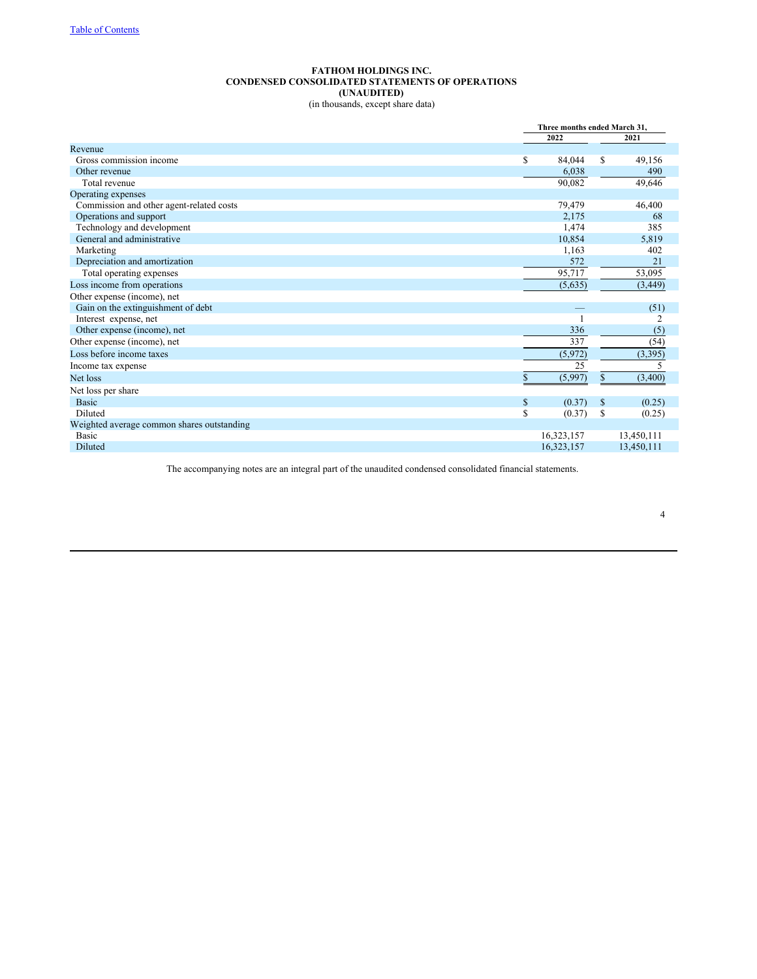# **FATHOM HOLDINGS INC. CONDENSED CONSOLIDATED STATEMENTS OF OPERATIONS (UNAUDITED)** (in thousands, except share data)

|                                            |               | Three months ended March 31. |
|--------------------------------------------|---------------|------------------------------|
|                                            | 2022          | 2021                         |
| Revenue                                    |               |                              |
| Gross commission income                    | \$<br>84,044  | S<br>49,156                  |
| Other revenue                              | 6,038         | 490                          |
| Total revenue                              | 90,082        | 49,646                       |
| Operating expenses                         |               |                              |
| Commission and other agent-related costs   | 79,479        | 46,400                       |
| Operations and support                     | 2,175         | 68                           |
| Technology and development                 | 1,474         | 385                          |
| General and administrative                 | 10,854        | 5,819                        |
| Marketing                                  | 1,163         | 402                          |
| Depreciation and amortization              | 572           | 21                           |
| Total operating expenses                   | 95,717        | 53,095                       |
| Loss income from operations                | (5,635)       | (3, 449)                     |
| Other expense (income), net                |               |                              |
| Gain on the extinguishment of debt         |               | (51)                         |
| Interest expense, net                      |               | 2                            |
| Other expense (income), net                | 336           | (5)                          |
| Other expense (income), net                | 337           | (54)                         |
| Loss before income taxes                   | (5,972)       | (3,395)                      |
| Income tax expense                         | 25            | 5                            |
| Net loss                                   | (5,997)<br>\$ | \$<br>(3,400)                |
| Net loss per share                         |               |                              |
| <b>Basic</b>                               | \$<br>(0.37)  | S<br>(0.25)                  |
| Diluted                                    | \$<br>(0.37)  | S<br>(0.25)                  |
| Weighted average common shares outstanding |               |                              |
| Basic                                      | 16,323,157    | 13,450,111                   |
| <b>Diluted</b>                             | 16,323,157    | 13,450,111                   |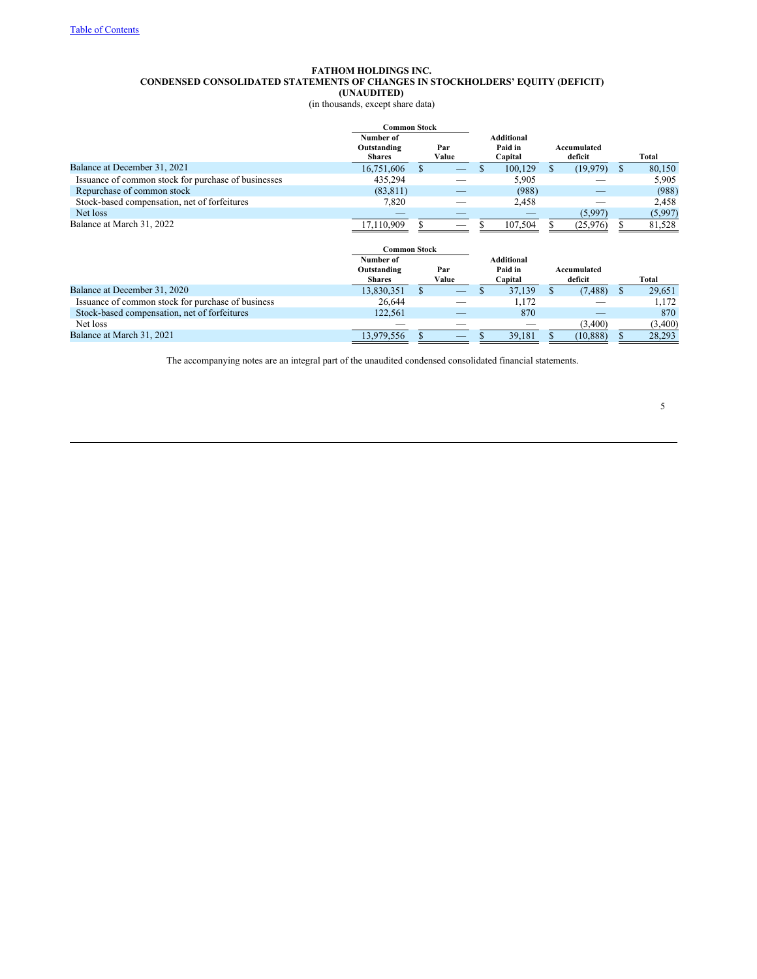# **FATHOM HOLDINGS INC. CONDENSED CONSOLIDATED STATEMENTS OF CHANGES IN STOCKHOLDERS' EQUITY (DEFICIT) (UNAUDITED)**

(in thousands, except share data)

|                                                     |                              | <b>Common Stock</b> |           |  |                   |                                         |           |   |         |  |  |  |  |  |  |  |  |  |                        |  |       |  |  |  |  |  |  |  |  |  |  |  |  |  |  |  |  |  |  |  |  |  |  |  |  |  |  |  |  |  |  |  |  |  |  |  |  |  |  |  |  |  |  |  |  |  |  |  |  |  |  |  |  |  |  |  |  |  |  |  |  |  |  |  |  |  |  |     |  |  |  |  |  |  |  |  |  |  |  |  |  |  |  |  |  |  |  |  |  |  |  |  |  |  |  |  |  |  |  |  |  |  |  |  |  |         |  |         |  |  |  |  |  |  |  |  |  |  |  |  |  |  |  |  |  |  |  |  |  |  |  |  |  |  |                        |  |       |
|-----------------------------------------------------|------------------------------|---------------------|-----------|--|-------------------|-----------------------------------------|-----------|---|---------|--|--|--|--|--|--|--|--|--|------------------------|--|-------|--|--|--|--|--|--|--|--|--|--|--|--|--|--|--|--|--|--|--|--|--|--|--|--|--|--|--|--|--|--|--|--|--|--|--|--|--|--|--|--|--|--|--|--|--|--|--|--|--|--|--|--|--|--|--|--|--|--|--|--|--|--|--|--|--|--|-----|--|--|--|--|--|--|--|--|--|--|--|--|--|--|--|--|--|--|--|--|--|--|--|--|--|--|--|--|--|--|--|--|--|--|--|--|--|---------|--|---------|--|--|--|--|--|--|--|--|--|--|--|--|--|--|--|--|--|--|--|--|--|--|--|--|--|--|------------------------|--|-------|
|                                                     | Outstanding<br><b>Shares</b> |                     | Number of |  | Par<br>Value      | <b>Additional</b><br>Paid in<br>Capital |           |   |         |  |  |  |  |  |  |  |  |  | Accumulated<br>deficit |  | Total |  |  |  |  |  |  |  |  |  |  |  |  |  |  |  |  |  |  |  |  |  |  |  |  |  |  |  |  |  |  |  |  |  |  |  |  |  |  |  |  |  |  |  |  |  |  |  |  |  |  |  |  |  |  |  |  |  |  |  |  |  |  |  |  |  |  |     |  |  |  |  |  |  |  |  |  |  |  |  |  |  |  |  |  |  |  |  |  |  |  |  |  |  |  |  |  |  |  |  |  |  |  |  |  |         |  |         |  |  |  |  |  |  |  |  |  |  |  |  |  |  |  |  |  |  |  |  |  |  |  |  |  |  |                        |  |       |
| Balance at December 31, 2021                        | 16,751,606                   | S                   |           |  | 100,129           | \$.                                     | (19, 979) | S | 80,150  |  |  |  |  |  |  |  |  |  |                        |  |       |  |  |  |  |  |  |  |  |  |  |  |  |  |  |  |  |  |  |  |  |  |  |  |  |  |  |  |  |  |  |  |  |  |  |  |  |  |  |  |  |  |  |  |  |  |  |  |  |  |  |  |  |  |  |  |  |  |  |  |  |  |  |  |  |  |  |     |  |  |  |  |  |  |  |  |  |  |  |  |  |  |  |  |  |  |  |  |  |  |  |  |  |  |  |  |  |  |  |  |  |  |  |  |  |         |  |         |  |  |  |  |  |  |  |  |  |  |  |  |  |  |  |  |  |  |  |  |  |  |  |  |  |  |                        |  |       |
| Issuance of common stock for purchase of businesses | 435,294                      |                     |           |  | 5,905             |                                         |           |   | 5,905   |  |  |  |  |  |  |  |  |  |                        |  |       |  |  |  |  |  |  |  |  |  |  |  |  |  |  |  |  |  |  |  |  |  |  |  |  |  |  |  |  |  |  |  |  |  |  |  |  |  |  |  |  |  |  |  |  |  |  |  |  |  |  |  |  |  |  |  |  |  |  |  |  |  |  |  |  |  |  |     |  |  |  |  |  |  |  |  |  |  |  |  |  |  |  |  |  |  |  |  |  |  |  |  |  |  |  |  |  |  |  |  |  |  |  |  |  |         |  |         |  |  |  |  |  |  |  |  |  |  |  |  |  |  |  |  |  |  |  |  |  |  |  |  |  |  |                        |  |       |
| Repurchase of common stock                          | (83, 811)                    |                     |           |  | (988)             |                                         |           |   | (988)   |  |  |  |  |  |  |  |  |  |                        |  |       |  |  |  |  |  |  |  |  |  |  |  |  |  |  |  |  |  |  |  |  |  |  |  |  |  |  |  |  |  |  |  |  |  |  |  |  |  |  |  |  |  |  |  |  |  |  |  |  |  |  |  |  |  |  |  |  |  |  |  |  |  |  |  |  |  |  |     |  |  |  |  |  |  |  |  |  |  |  |  |  |  |  |  |  |  |  |  |  |  |  |  |  |  |  |  |  |  |  |  |  |  |  |  |  |         |  |         |  |  |  |  |  |  |  |  |  |  |  |  |  |  |  |  |  |  |  |  |  |  |  |  |  |  |                        |  |       |
| Stock-based compensation, net of forfeitures        | 7,820                        |                     |           |  | 2,458             |                                         |           |   | 2,458   |  |  |  |  |  |  |  |  |  |                        |  |       |  |  |  |  |  |  |  |  |  |  |  |  |  |  |  |  |  |  |  |  |  |  |  |  |  |  |  |  |  |  |  |  |  |  |  |  |  |  |  |  |  |  |  |  |  |  |  |  |  |  |  |  |  |  |  |  |  |  |  |  |  |  |  |  |  |  |     |  |  |  |  |  |  |  |  |  |  |  |  |  |  |  |  |  |  |  |  |  |  |  |  |  |  |  |  |  |  |  |  |  |  |  |  |  |         |  |         |  |  |  |  |  |  |  |  |  |  |  |  |  |  |  |  |  |  |  |  |  |  |  |  |  |  |                        |  |       |
| Net loss                                            |                              |                     |           |  |                   |                                         | (5,997)   |   | (5,997) |  |  |  |  |  |  |  |  |  |                        |  |       |  |  |  |  |  |  |  |  |  |  |  |  |  |  |  |  |  |  |  |  |  |  |  |  |  |  |  |  |  |  |  |  |  |  |  |  |  |  |  |  |  |  |  |  |  |  |  |  |  |  |  |  |  |  |  |  |  |  |  |  |  |  |  |  |  |  |     |  |  |  |  |  |  |  |  |  |  |  |  |  |  |  |  |  |  |  |  |  |  |  |  |  |  |  |  |  |  |  |  |  |  |  |  |  |         |  |         |  |  |  |  |  |  |  |  |  |  |  |  |  |  |  |  |  |  |  |  |  |  |  |  |  |  |                        |  |       |
| Balance at March 31, 2022                           | 17,110,909                   |                     |           |  | 107,504           |                                         | (25, 976) |   | 81,528  |  |  |  |  |  |  |  |  |  |                        |  |       |  |  |  |  |  |  |  |  |  |  |  |  |  |  |  |  |  |  |  |  |  |  |  |  |  |  |  |  |  |  |  |  |  |  |  |  |  |  |  |  |  |  |  |  |  |  |  |  |  |  |  |  |  |  |  |  |  |  |  |  |  |  |  |  |  |  |     |  |  |  |  |  |  |  |  |  |  |  |  |  |  |  |  |  |  |  |  |  |  |  |  |  |  |  |  |  |  |  |  |  |  |  |  |  |         |  |         |  |  |  |  |  |  |  |  |  |  |  |  |  |  |  |  |  |  |  |  |  |  |  |  |  |  |                        |  |       |
|                                                     | <b>Common Stock</b>          |                     |           |  |                   |                                         |           |   |         |  |  |  |  |  |  |  |  |  |                        |  |       |  |  |  |  |  |  |  |  |  |  |  |  |  |  |  |  |  |  |  |  |  |  |  |  |  |  |  |  |  |  |  |  |  |  |  |  |  |  |  |  |  |  |  |  |  |  |  |  |  |  |  |  |  |  |  |  |  |  |  |  |  |  |  |  |  |  |     |  |  |  |  |  |  |  |  |  |  |  |  |  |  |  |  |  |  |  |  |  |  |  |  |  |  |  |  |  |  |  |  |  |  |  |  |  |         |  |         |  |  |  |  |  |  |  |  |  |  |  |  |  |  |  |  |  |  |  |  |  |  |  |  |  |  |                        |  |       |
|                                                     | Number of                    |                     |           |  | <b>Additional</b> |                                         |           |   |         |  |  |  |  |  |  |  |  |  |                        |  |       |  |  |  |  |  |  |  |  |  |  |  |  |  |  |  |  |  |  |  |  |  |  |  |  |  |  |  |  |  |  |  |  |  |  |  |  |  |  |  |  |  |  |  |  |  |  |  |  |  |  |  |  |  |  |  |  |  |  |  |  |  |  |  |  |  |  |     |  |  |  |  |  |  |  |  |  |  |  |  |  |  |  |  |  |  |  |  |  |  |  |  |  |  |  |  |  |  |  |  |  |  |  |  |  |         |  |         |  |  |  |  |  |  |  |  |  |  |  |  |  |  |  |  |  |  |  |  |  |  |  |  |  |  |                        |  |       |
|                                                     | Outstanding<br><b>Shares</b> | Value               |           |  |                   |                                         |           |   |         |  |  |  |  |  |  |  |  |  |                        |  |       |  |  |  |  |  |  |  |  |  |  |  |  |  |  |  |  |  |  |  |  |  |  |  |  |  |  |  |  |  |  |  |  |  |  |  |  |  |  |  |  |  |  |  |  |  |  |  |  |  |  |  |  |  |  |  |  |  |  |  |  |  |  |  |  |  |  | Par |  |  |  |  |  |  |  |  |  |  |  |  |  |  |  |  |  |  |  |  |  |  |  |  |  |  |  |  |  |  |  |  |  |  |  |  |  | Capital |  | Paid in |  |  |  |  |  |  |  |  |  |  |  |  |  |  |  |  |  |  |  |  |  |  |  |  |  |  | Accumulated<br>deficit |  | Total |
| Balance at December 31, 2020                        | 13,830,351                   | \$                  |           |  | 37,139            | \$.                                     | (7, 488)  | S | 29,651  |  |  |  |  |  |  |  |  |  |                        |  |       |  |  |  |  |  |  |  |  |  |  |  |  |  |  |  |  |  |  |  |  |  |  |  |  |  |  |  |  |  |  |  |  |  |  |  |  |  |  |  |  |  |  |  |  |  |  |  |  |  |  |  |  |  |  |  |  |  |  |  |  |  |  |  |  |  |  |     |  |  |  |  |  |  |  |  |  |  |  |  |  |  |  |  |  |  |  |  |  |  |  |  |  |  |  |  |  |  |  |  |  |  |  |  |  |         |  |         |  |  |  |  |  |  |  |  |  |  |  |  |  |  |  |  |  |  |  |  |  |  |  |  |  |  |                        |  |       |
| Issuance of common stock for purchase of business   | 26,644                       |                     |           |  | 1,172             |                                         |           |   | 1,172   |  |  |  |  |  |  |  |  |  |                        |  |       |  |  |  |  |  |  |  |  |  |  |  |  |  |  |  |  |  |  |  |  |  |  |  |  |  |  |  |  |  |  |  |  |  |  |  |  |  |  |  |  |  |  |  |  |  |  |  |  |  |  |  |  |  |  |  |  |  |  |  |  |  |  |  |  |  |  |     |  |  |  |  |  |  |  |  |  |  |  |  |  |  |  |  |  |  |  |  |  |  |  |  |  |  |  |  |  |  |  |  |  |  |  |  |  |         |  |         |  |  |  |  |  |  |  |  |  |  |  |  |  |  |  |  |  |  |  |  |  |  |  |  |  |  |                        |  |       |
| Stock-based compensation, net of forfeitures        | 122,561                      |                     |           |  | 870               |                                         |           |   | 870     |  |  |  |  |  |  |  |  |  |                        |  |       |  |  |  |  |  |  |  |  |  |  |  |  |  |  |  |  |  |  |  |  |  |  |  |  |  |  |  |  |  |  |  |  |  |  |  |  |  |  |  |  |  |  |  |  |  |  |  |  |  |  |  |  |  |  |  |  |  |  |  |  |  |  |  |  |  |  |     |  |  |  |  |  |  |  |  |  |  |  |  |  |  |  |  |  |  |  |  |  |  |  |  |  |  |  |  |  |  |  |  |  |  |  |  |  |         |  |         |  |  |  |  |  |  |  |  |  |  |  |  |  |  |  |  |  |  |  |  |  |  |  |  |  |  |                        |  |       |
| Net loss                                            |                              |                     |           |  |                   |                                         | (3,400)   |   | (3,400) |  |  |  |  |  |  |  |  |  |                        |  |       |  |  |  |  |  |  |  |  |  |  |  |  |  |  |  |  |  |  |  |  |  |  |  |  |  |  |  |  |  |  |  |  |  |  |  |  |  |  |  |  |  |  |  |  |  |  |  |  |  |  |  |  |  |  |  |  |  |  |  |  |  |  |  |  |  |  |     |  |  |  |  |  |  |  |  |  |  |  |  |  |  |  |  |  |  |  |  |  |  |  |  |  |  |  |  |  |  |  |  |  |  |  |  |  |         |  |         |  |  |  |  |  |  |  |  |  |  |  |  |  |  |  |  |  |  |  |  |  |  |  |  |  |  |                        |  |       |
| Balance at March 31, 2021                           | 13,979,556                   |                     |           |  | 39,181            |                                         | (10, 888) |   | 28,293  |  |  |  |  |  |  |  |  |  |                        |  |       |  |  |  |  |  |  |  |  |  |  |  |  |  |  |  |  |  |  |  |  |  |  |  |  |  |  |  |  |  |  |  |  |  |  |  |  |  |  |  |  |  |  |  |  |  |  |  |  |  |  |  |  |  |  |  |  |  |  |  |  |  |  |  |  |  |  |     |  |  |  |  |  |  |  |  |  |  |  |  |  |  |  |  |  |  |  |  |  |  |  |  |  |  |  |  |  |  |  |  |  |  |  |  |  |         |  |         |  |  |  |  |  |  |  |  |  |  |  |  |  |  |  |  |  |  |  |  |  |  |  |  |  |  |                        |  |       |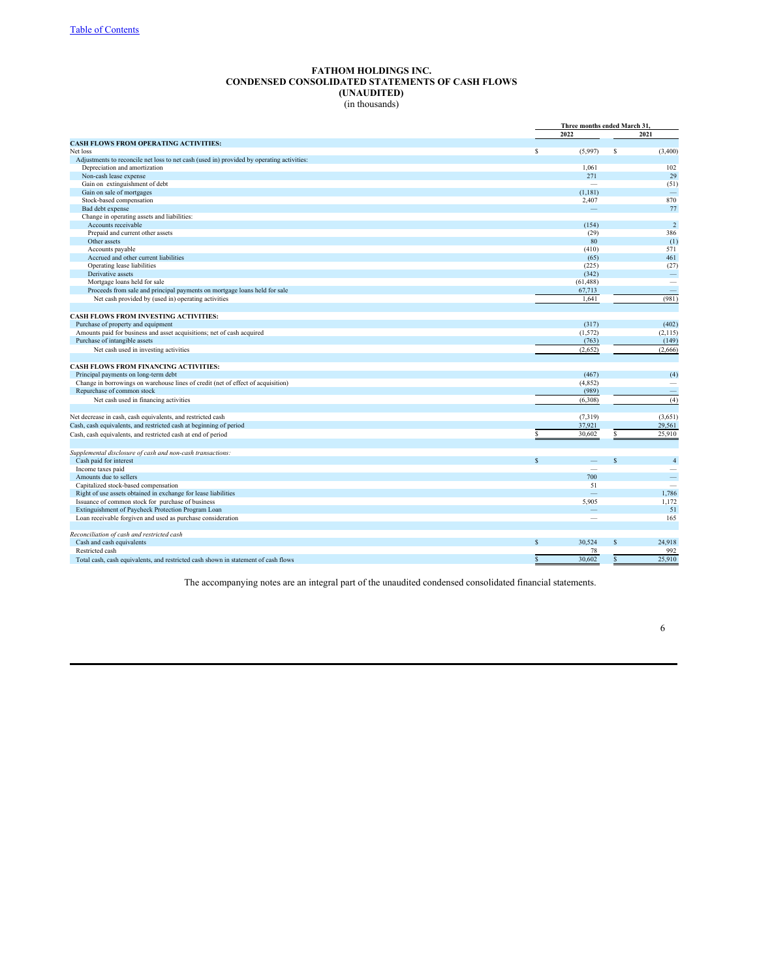# **FATHOM HOLDINGS INC. CONDENSED CONSOLIDATED STATEMENTS OF CASH FLOWS (UNAUDITED)** (in thousands)

|                                                                                                                     |              |           | Three months ended March 31,         |  |  |
|---------------------------------------------------------------------------------------------------------------------|--------------|-----------|--------------------------------------|--|--|
|                                                                                                                     | 2022         |           | 2021                                 |  |  |
| <b>CASH FLOWS FROM OPERATING ACTIVITIES:</b>                                                                        |              |           |                                      |  |  |
| Net loss                                                                                                            | s            | (5,997)   | (3,400)<br>\$                        |  |  |
| Adjustments to reconcile net loss to net cash (used in) provided by operating activities:                           |              |           |                                      |  |  |
| Depreciation and amortization                                                                                       |              | 1.061     | 102                                  |  |  |
| Non-cash lease expense                                                                                              |              | 271       | 29                                   |  |  |
| Gain on extinguishment of debt                                                                                      |              | -         | (51)                                 |  |  |
| Gain on sale of mortgages                                                                                           |              | (1, 181)  | $\frac{1}{2}$                        |  |  |
| Stock-based compensation                                                                                            |              | 2,407     | 870                                  |  |  |
| Bad debt expense                                                                                                    |              |           | 77                                   |  |  |
| Change in operating assets and liabilities:                                                                         |              |           |                                      |  |  |
| Accounts receivable                                                                                                 |              | (154)     | $\sqrt{2}$                           |  |  |
| Prepaid and current other assets                                                                                    |              | (29)      | 386                                  |  |  |
| Other assets                                                                                                        |              | 80        | (1)                                  |  |  |
| Accounts payable                                                                                                    |              | (410)     | 571                                  |  |  |
| Accrued and other current liabilities                                                                               |              | (65)      | 461                                  |  |  |
| Operating lease liabilities                                                                                         |              | (225)     | (27)                                 |  |  |
| Derivative assets                                                                                                   |              | (342)     | $\qquad \qquad -$                    |  |  |
| Mortgage loans held for sale                                                                                        |              | (61, 488) | $\overline{\phantom{a}}$             |  |  |
| Proceeds from sale and principal payments on mortgage loans held for sale                                           |              | 67,713    |                                      |  |  |
| Net cash provided by (used in) operating activities                                                                 |              | 1,641     | (981)                                |  |  |
|                                                                                                                     |              |           |                                      |  |  |
| <b>CASH FLOWS FROM INVESTING ACTIVITIES:</b>                                                                        |              |           |                                      |  |  |
| Purchase of property and equipment                                                                                  |              | (317)     | (402)                                |  |  |
| Amounts paid for business and asset acquisitions; net of cash acquired                                              |              | (1, 572)  | (2,115)                              |  |  |
| Purchase of intangible assets                                                                                       |              | (763)     | (149)                                |  |  |
| Net cash used in investing activities                                                                               |              | (2,652)   | (2,666)                              |  |  |
|                                                                                                                     |              |           |                                      |  |  |
| <b>CASH FLOWS FROM FINANCING ACTIVITIES:</b>                                                                        |              |           |                                      |  |  |
| Principal payments on long-term debt                                                                                |              | (467)     | (4)                                  |  |  |
| Change in borrowings on warehouse lines of credit (net of effect of acquisition)                                    |              | (4, 852)  |                                      |  |  |
| Repurchase of common stock                                                                                          |              | (989)     |                                      |  |  |
| Net cash used in financing activities                                                                               |              | (6,308)   | (4)                                  |  |  |
|                                                                                                                     |              |           |                                      |  |  |
| Net decrease in cash, cash equivalents, and restricted cash                                                         |              | (7,319)   | (3,651)                              |  |  |
| Cash, cash equivalents, and restricted cash at beginning of period                                                  |              | 37,921    | 29,561                               |  |  |
| Cash, cash equivalents, and restricted cash at end of period                                                        | S.           | 30,602    | 25,910<br>S                          |  |  |
|                                                                                                                     |              |           |                                      |  |  |
|                                                                                                                     |              |           |                                      |  |  |
| Supplemental disclosure of cash and non-cash transactions:<br>Cash paid for interest                                | S            |           | $\overline{4}$<br>$\mathbf{\hat{S}}$ |  |  |
| Income taxes paid                                                                                                   |              | -         | $\overline{\phantom{a}}$             |  |  |
| Amounts due to sellers                                                                                              |              | 700       |                                      |  |  |
| Capitalized stock-based compensation                                                                                |              | 51        | $\overline{\phantom{a}}$             |  |  |
|                                                                                                                     |              | ÷,        |                                      |  |  |
| Right of use assets obtained in exchange for lease liabilities<br>Issuance of common stock for purchase of business |              | 5.905     | 1,786<br>1,172                       |  |  |
| Extinguishment of Paycheck Protection Program Loan                                                                  |              |           | 51                                   |  |  |
| Loan receivable forgiven and used as purchase consideration                                                         |              | -         | 165                                  |  |  |
|                                                                                                                     |              |           |                                      |  |  |
| Reconciliation of cash and restricted cash                                                                          |              |           |                                      |  |  |
| Cash and cash equivalents                                                                                           | $\mathbf{s}$ | 30,524    | $\mathbf S$<br>24,918                |  |  |
| Restricted cash                                                                                                     |              | 78        | 992                                  |  |  |
| Total cash, cash equivalents, and restricted cash shown in statement of cash flows                                  | \$.          | 30,602    | \$<br>25,910                         |  |  |
|                                                                                                                     |              |           |                                      |  |  |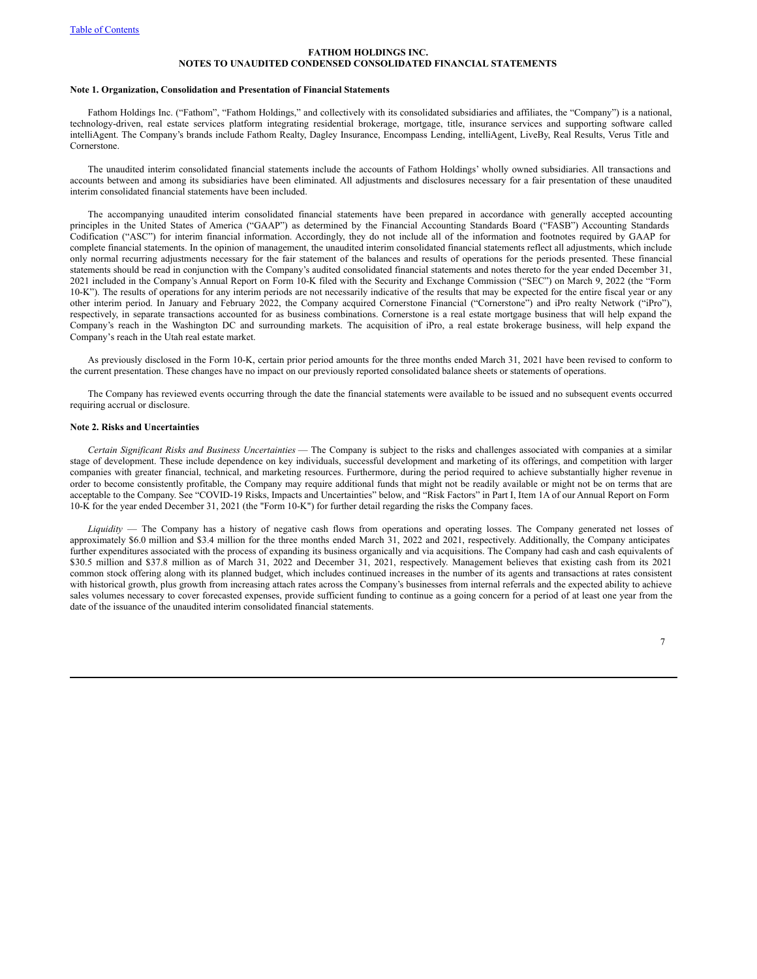#### **Note 1. Organization, Consolidation and Presentation of Financial Statements**

Fathom Holdings Inc. ("Fathom", "Fathom Holdings," and collectively with its consolidated subsidiaries and affiliates, the "Company") is a national, technology-driven, real estate services platform integrating residential brokerage, mortgage, title, insurance services and supporting software called intelliAgent. The Company's brands include Fathom Realty, Dagley Insurance, Encompass Lending, intelliAgent, LiveBy, Real Results, Verus Title and Cornerstone.

The unaudited interim consolidated financial statements include the accounts of Fathom Holdings' wholly owned subsidiaries. All transactions and accounts between and among its subsidiaries have been eliminated. All adjustments and disclosures necessary for a fair presentation of these unaudited interim consolidated financial statements have been included.

The accompanying unaudited interim consolidated financial statements have been prepared in accordance with generally accepted accounting principles in the United States of America ("GAAP") as determined by the Financial Accounting Standards Board ("FASB") Accounting Standards Codification ("ASC") for interim financial information. Accordingly, they do not include all of the information and footnotes required by GAAP for complete financial statements. In the opinion of management, the unaudited interim consolidated financial statements reflect all adjustments, which include only normal recurring adjustments necessary for the fair statement of the balances and results of operations for the periods presented. These financial statements should be read in conjunction with the Company's audited consolidated financial statements and notes thereto for the year ended December 31, 2021 included in the Company's Annual Report on Form 10-K filed with the Security and Exchange Commission ("SEC") on March 9, 2022 (the "Form 10-K"). The results of operations for any interim periods are not necessarily indicative of the results that may be expected for the entire fiscal year or any other interim period. In January and February 2022, the Company acquired Cornerstone Financial ("Cornerstone") and iPro realty Network ("iPro"), respectively, in separate transactions accounted for as business combinations. Cornerstone is a real estate mortgage business that will help expand the Company's reach in the Washington DC and surrounding markets. The acquisition of iPro, a real estate brokerage business, will help expand the Company's reach in the Utah real estate market.

As previously disclosed in the Form 10-K, certain prior period amounts for the three months ended March 31, 2021 have been revised to conform to the current presentation. These changes have no impact on our previously reported consolidated balance sheets or statements of operations.

The Company has reviewed events occurring through the date the financial statements were available to be issued and no subsequent events occurred requiring accrual or disclosure.

### **Note 2. Risks and Uncertainties**

*Certain Significant Risks and Business Uncertainties* — The Company is subject to the risks and challenges associated with companies at a similar stage of development. These include dependence on key individuals, successful development and marketing of its offerings, and competition with larger companies with greater financial, technical, and marketing resources. Furthermore, during the period required to achieve substantially higher revenue in order to become consistently profitable, the Company may require additional funds that might not be readily available or might not be on terms that are acceptable to the Company. See "COVID-19 Risks, Impacts and Uncertainties" below, and "Risk Factors" in Part I, Item 1A of our Annual Report on Form 10-K for the year ended December 31, 2021 (the "Form 10-K") for further detail regarding the risks the Company faces.

*Liquidity* — The Company has a history of negative cash flows from operations and operating losses. The Company generated net losses of approximately \$6.0 million and \$3.4 million for the three months ended March 31, 2022 and 2021, respectively. Additionally, the Company anticipates further expenditures associated with the process of expanding its business organically and via acquisitions. The Company had cash and cash equivalents of \$30.5 million and \$37.8 million as of March 31, 2022 and December 31, 2021, respectively. Management believes that existing cash from its 2021 common stock offering along with its planned budget, which includes continued increases in the number of its agents and transactions at rates consistent with historical growth, plus growth from increasing attach rates across the Company's businesses from internal referrals and the expected ability to achieve sales volumes necessary to cover forecasted expenses, provide sufficient funding to continue as a going concern for a period of at least one year from the date of the issuance of the unaudited interim consolidated financial statements.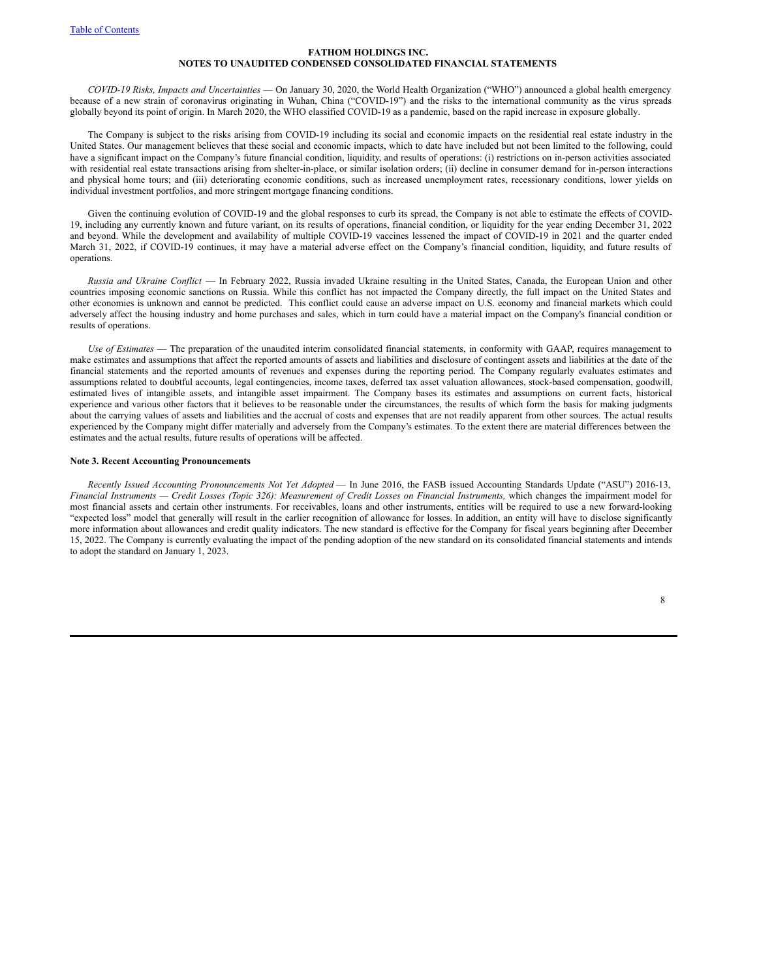*COVID-19 Risks, Impacts and Uncertainties* — On January 30, 2020, the World Health Organization ("WHO") announced a global health emergency because of a new strain of coronavirus originating in Wuhan, China ("COVID-19") and the risks to the international community as the virus spreads globally beyond its point of origin. In March 2020, the WHO classified COVID-19 as a pandemic, based on the rapid increase in exposure globally.

The Company is subject to the risks arising from COVID-19 including its social and economic impacts on the residential real estate industry in the United States. Our management believes that these social and economic impacts, which to date have included but not been limited to the following, could have a significant impact on the Company's future financial condition, liquidity, and results of operations: (i) restrictions on in-person activities associated with residential real estate transactions arising from shelter-in-place, or similar isolation orders; (ii) decline in consumer demand for in-person interactions and physical home tours; and (iii) deteriorating economic conditions, such as increased unemployment rates, recessionary conditions, lower yields on individual investment portfolios, and more stringent mortgage financing conditions.

Given the continuing evolution of COVID-19 and the global responses to curb its spread, the Company is not able to estimate the effects of COVID-19, including any currently known and future variant, on its results of operations, financial condition, or liquidity for the year ending December 31, 2022 and beyond. While the development and availability of multiple COVID-19 vaccines lessened the impact of COVID-19 in 2021 and the quarter ended March 31, 2022, if COVID-19 continues, it may have a material adverse effect on the Company's financial condition, liquidity, and future results of operations.

*Russia and Ukraine Conflict* — In February 2022, Russia invaded Ukraine resulting in the United States, Canada, the European Union and other countries imposing economic sanctions on Russia. While this conflict has not impacted the Company directly, the full impact on the United States and other economies is unknown and cannot be predicted. This conflict could cause an adverse impact on U.S. economy and financial markets which could adversely affect the housing industry and home purchases and sales, which in turn could have a material impact on the Company's financial condition or results of operations.

*Use of Estimates* — The preparation of the unaudited interim consolidated financial statements, in conformity with GAAP, requires management to make estimates and assumptions that affect the reported amounts of assets and liabilities and disclosure of contingent assets and liabilities at the date of the financial statements and the reported amounts of revenues and expenses during the reporting period. The Company regularly evaluates estimates and assumptions related to doubtful accounts, legal contingencies, income taxes, deferred tax asset valuation allowances, stock-based compensation, goodwill, estimated lives of intangible assets, and intangible asset impairment. The Company bases its estimates and assumptions on current facts, historical experience and various other factors that it believes to be reasonable under the circumstances, the results of which form the basis for making judgments about the carrying values of assets and liabilities and the accrual of costs and expenses that are not readily apparent from other sources. The actual results experienced by the Company might differ materially and adversely from the Company's estimates. To the extent there are material differences between the estimates and the actual results, future results of operations will be affected.

#### **Note 3. Recent Accounting Pronouncements**

*Recently Issued Accounting Pronouncements Not Yet Adopted* — In June 2016, the FASB issued Accounting Standards Update ("ASU") 2016-13, Financial Instruments - Credit Losses (Topic 326): Measurement of Credit Losses on Financial Instruments, which changes the impairment model for most financial assets and certain other instruments. For receivables, loans and other instruments, entities will be required to use a new forward-looking "expected loss" model that generally will result in the earlier recognition of allowance for losses. In addition, an entity will have to disclose significantly more information about allowances and credit quality indicators. The new standard is effective for the Company for fiscal years beginning after December 15, 2022. The Company is currently evaluating the impact of the pending adoption of the new standard on its consolidated financial statements and intends to adopt the standard on January 1, 2023.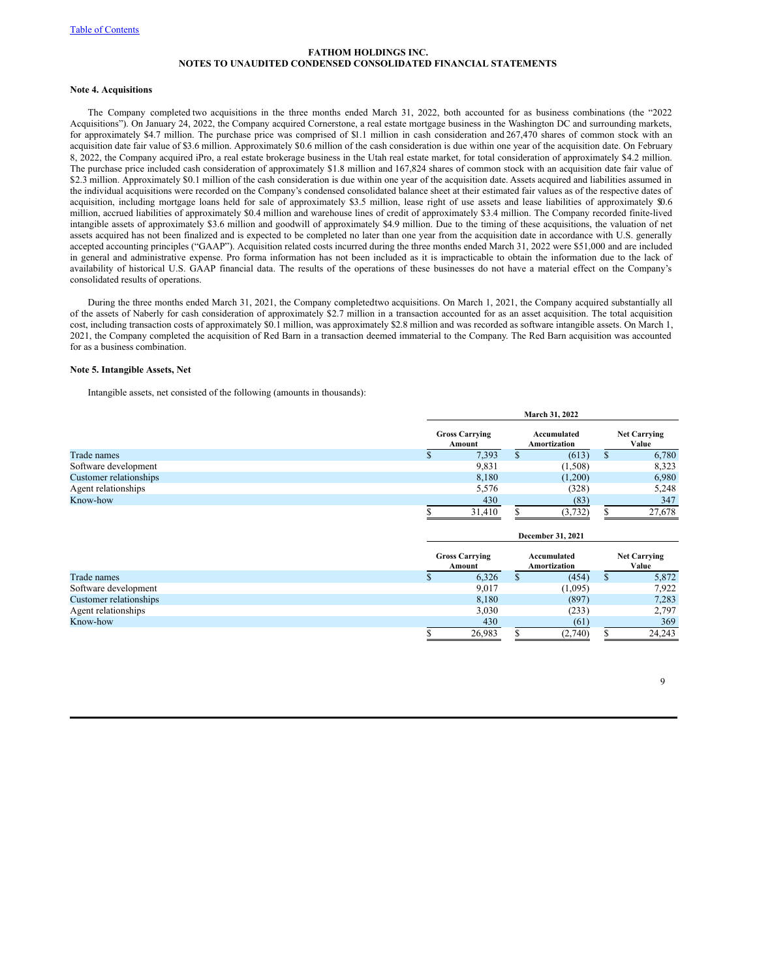### **Note 4. Acquisitions**

The Company completed two acquisitions in the three months ended March 31, 2022, both accounted for as business combinations (the "2022 Acquisitions"). On January 24, 2022, the Company acquired Cornerstone, a real estate mortgage business in the Washington DC and surrounding markets, for approximately \$4.7 million. The purchase price was comprised of \$1.1 million in cash consideration and 267,470 shares of common stock with an acquisition date fair value of \$3.6 million. Approximately \$0.6 million of the cash consideration is due within one year of the acquisition date. On February 8, 2022, the Company acquired iPro, a real estate brokerage business in the Utah real estate market, for total consideration of approximately \$4.2 million. The purchase price included cash consideration of approximately \$1.8 million and 167,824 shares of common stock with an acquisition date fair value of \$2.3 million. Approximately \$0.1 million of the cash consideration is due within one year of the acquisition date. Assets acquired and liabilities assumed in the individual acquisitions were recorded on the Company's condensed consolidated balance sheet at their estimated fair values as of the respective dates of acquisition, including mortgage loans held for sale of approximately \$3.5 million, lease right of use assets and lease liabilities of approximately \$0.6 million, accrued liabilities of approximately \$0.4 million and warehouse lines of credit of approximately \$3.4 million. The Company recorded finite-lived intangible assets of approximately \$3.6 million and goodwill of approximately \$4.9 million. Due to the timing of these acquisitions, the valuation of net assets acquired has not been finalized and is expected to be completed no later than one year from the acquisition date in accordance with U.S. generally accepted accounting principles ("GAAP"). Acquisition related costs incurred during the three months ended March 31, 2022 were \$51,000 and are included in general and administrative expense. Pro forma information has not been included as it is impracticable to obtain the information due to the lack of availability of historical U.S. GAAP financial data. The results of the operations of these businesses do not have a material effect on the Company's consolidated results of operations.

During the three months ended March 31, 2021, the Company completedtwo acquisitions. On March 1, 2021, the Company acquired substantially all of the assets of Naberly for cash consideration of approximately \$2.7 million in a transaction accounted for as an asset acquisition. The total acquisition cost, including transaction costs of approximately \$0.1 million, was approximately \$2.8 million and was recorded as software intangible assets. On March 1, 2021, the Company completed the acquisition of Red Barn in a transaction deemed immaterial to the Company. The Red Barn acquisition was accounted for as a business combination.

# **Note 5. Intangible Assets, Net**

Intangible assets, net consisted of the following (amounts in thousands):

|                        |    | March 31, 2022                  |   |                                    |   |                              |  |  |
|------------------------|----|---------------------------------|---|------------------------------------|---|------------------------------|--|--|
|                        |    | <b>Gross Carrying</b><br>Amount |   | Accumulated<br><b>Amortization</b> |   | <b>Net Carrying</b><br>Value |  |  |
| Trade names            | ۰D | 7,393                           | ъ | (613)                              | S | 6,780                        |  |  |
| Software development   |    | 9,831                           |   | (1,508)                            |   | 8,323                        |  |  |
| Customer relationships |    | 8,180                           |   | (1,200)                            |   | 6,980                        |  |  |
| Agent relationships    |    | 5,576                           |   | (328)                              |   | 5,248                        |  |  |
| Know-how               |    | 430                             |   | (83)                               |   | 347                          |  |  |
|                        |    | 31,410                          |   | (3, 732)                           |   | 27,678                       |  |  |
|                        |    |                                 |   | December 31, 2021                  |   |                              |  |  |

|                        | <b>Gross Carrying</b><br>Amount |  | Accumulated<br>Amortization |   | <b>Net Carrying</b><br>Value |
|------------------------|---------------------------------|--|-----------------------------|---|------------------------------|
| Trade names            | 6,326                           |  | (454)                       | Ф | 5,872                        |
| Software development   | 9,017                           |  | (1,095)                     |   | 7,922                        |
| Customer relationships | 8,180                           |  | (897)                       |   | 7,283                        |
| Agent relationships    | 3,030                           |  | (233)                       |   | 2,797                        |
| Know-how               | 430                             |  | (61)                        |   | 369                          |
|                        | 26,983                          |  | (2,740)                     |   | 24.243                       |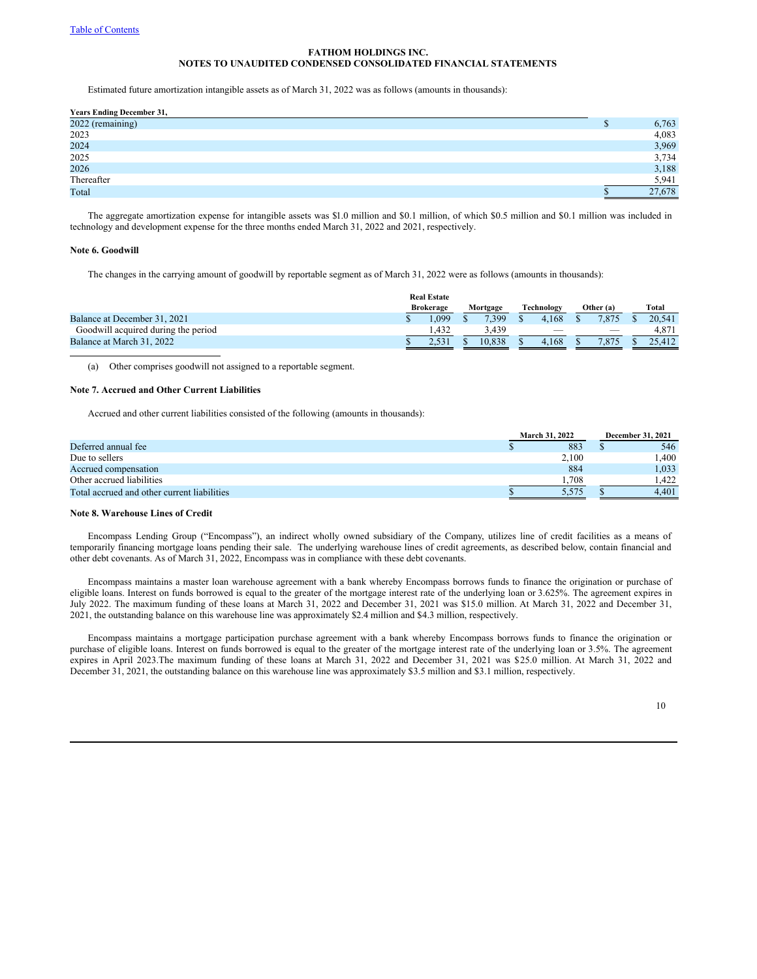Estimated future amortization intangible assets as of March 31, 2022 was as follows (amounts in thousands):

| <b>Years Ending December 31,</b> |   |        |
|----------------------------------|---|--------|
| 2022 (remaining)                 | D | 6,763  |
| 2023                             |   | 4,083  |
| 2024                             |   | 3,969  |
| 2025                             |   | 3,734  |
| 2026                             |   | 3,188  |
| Thereafter                       |   | 5,941  |
| Total                            |   | 27,678 |

The aggregate amortization expense for intangible assets was \$1.0 million and \$0.1 million, of which \$0.5 million and \$0.1 million was included in technology and development expense for the three months ended March 31, 2022 and 2021, respectively.

# **Note 6. Goodwill**

The changes in the carrying amount of goodwill by reportable segment as of March 31, 2022 were as follows (amounts in thousands):

|                                     | <b>Real Estate</b> |          |                          |                          |        |
|-------------------------------------|--------------------|----------|--------------------------|--------------------------|--------|
|                                     | <b>Brokerage</b>   | Mortgage | Technology               | Other (a)                | Total  |
| Balance at December 31, 2021        | .099               | 7.399    | 4.168                    | 7.875                    | 20.541 |
| Goodwill acquired during the period | 1.432              | 3.439    | $\overline{\phantom{a}}$ | $\overline{\phantom{a}}$ | 4.87.  |
| Balance at March 31, 2022           |                    | 10.838   | 4.168                    | 7.875                    | 25.412 |

(a) Other comprises goodwill not assigned to a reportable segment.

### **Note 7. Accrued and Other Current Liabilities**

Accrued and other current liabilities consisted of the following (amounts in thousands):

|                                             | March 31, 2022 | <b>December 31, 2021</b> |       |  |
|---------------------------------------------|----------------|--------------------------|-------|--|
| Deferred annual fee                         | 883            |                          | 546   |  |
| Due to sellers                              | 2.100          |                          | .400  |  |
| Accrued compensation                        | 884            |                          | 1,033 |  |
| Other accrued liabilities                   | .708           |                          | .422  |  |
| Total accrued and other current liabilities | 5.575          |                          | 4.401 |  |

# **Note 8. Warehouse Lines of Credit**

Encompass Lending Group ("Encompass"), an indirect wholly owned subsidiary of the Company, utilizes line of credit facilities as a means of temporarily financing mortgage loans pending their sale. The underlying warehouse lines of credit agreements, as described below, contain financial and other debt covenants. As of March 31, 2022, Encompass was in compliance with these debt covenants.

Encompass maintains a master loan warehouse agreement with a bank whereby Encompass borrows funds to finance the origination or purchase of eligible loans. Interest on funds borrowed is equal to the greater of the mortgage interest rate of the underlying loan or 3.625%. The agreement expires in July 2022. The maximum funding of these loans at March 31, 2022 and December 31, 2021 was \$15.0 million. At March 31, 2022 and December 31, 2021, the outstanding balance on this warehouse line was approximately \$2.4 million and \$4.3 million, respectively.

Encompass maintains a mortgage participation purchase agreement with a bank whereby Encompass borrows funds to finance the origination or purchase of eligible loans. Interest on funds borrowed is equal to the greater of the mortgage interest rate of the underlying loan or 3.5%. The agreement expires in April 2023.The maximum funding of these loans at March 31, 2022 and December 31, 2021 was \$25.0 million. At March 31, 2022 and December 31, 2021, the outstanding balance on this warehouse line was approximately \$3.5 million and \$3.1 million, respectively.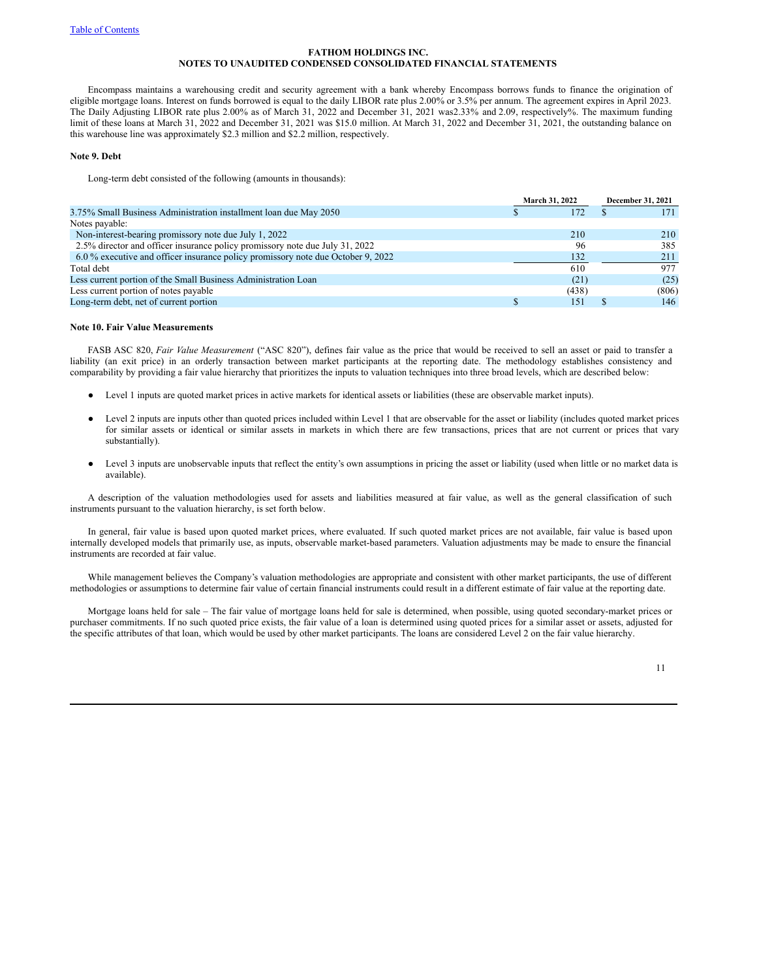Encompass maintains a warehousing credit and security agreement with a bank whereby Encompass borrows funds to finance the origination of eligible mortgage loans. Interest on funds borrowed is equal to the daily LIBOR rate plus 2.00% or 3.5% per annum. The agreement expires in April 2023. The Daily Adjusting LIBOR rate plus 2.00% as of March 31, 2022 and December 31, 2021 was2.33% and 2.09, respectively%. The maximum funding limit of these loans at March 31, 2022 and December 31, 2021 was \$15.0 million. At March 31, 2022 and December 31, 2021, the outstanding balance on this warehouse line was approximately \$2.3 million and \$2.2 million, respectively.

# **Note 9. Debt**

Long-term debt consisted of the following (amounts in thousands):

|                                                                                  | March 31, 2022 |       | <b>December 31, 2021</b> |  |
|----------------------------------------------------------------------------------|----------------|-------|--------------------------|--|
| 3.75% Small Business Administration installment loan due May 2050                |                | 172   | 171                      |  |
| Notes payable:                                                                   |                |       |                          |  |
| Non-interest-bearing promissory note due July 1, 2022                            |                | 210   | 210                      |  |
| 2.5% director and officer insurance policy promissory note due July 31, 2022     |                | 96    | 385                      |  |
| 6.0 % executive and officer insurance policy promissory note due October 9, 2022 |                | 132   | 211                      |  |
| Total debt                                                                       |                | 610   | 977                      |  |
| Less current portion of the Small Business Administration Loan                   |                | (21)  | (25)                     |  |
| Less current portion of notes payable                                            |                | (438) | (806)                    |  |
| Long-term debt, net of current portion                                           |                | 151   | 146                      |  |

# **Note 10. Fair Value Measurements**

FASB ASC 820, *Fair Value Measurement* ("ASC 820"), defines fair value as the price that would be received to sell an asset or paid to transfer a liability (an exit price) in an orderly transaction between market participants at the reporting date. The methodology establishes consistency and comparability by providing a fair value hierarchy that prioritizes the inputs to valuation techniques into three broad levels, which are described below:

- Level 1 inputs are quoted market prices in active markets for identical assets or liabilities (these are observable market inputs).
- Level 2 inputs are inputs other than quoted prices included within Level 1 that are observable for the asset or liability (includes quoted market prices for similar assets or identical or similar assets in markets in which there are few transactions, prices that are not current or prices that vary substantially).
- Level 3 inputs are unobservable inputs that reflect the entity's own assumptions in pricing the asset or liability (used when little or no market data is available).

A description of the valuation methodologies used for assets and liabilities measured at fair value, as well as the general classification of such instruments pursuant to the valuation hierarchy, is set forth below.

In general, fair value is based upon quoted market prices, where evaluated. If such quoted market prices are not available, fair value is based upon internally developed models that primarily use, as inputs, observable market-based parameters. Valuation adjustments may be made to ensure the financial instruments are recorded at fair value.

While management believes the Company's valuation methodologies are appropriate and consistent with other market participants, the use of different methodologies or assumptions to determine fair value of certain financial instruments could result in a different estimate of fair value at the reporting date.

Mortgage loans held for sale – The fair value of mortgage loans held for sale is determined, when possible, using quoted secondary-market prices or purchaser commitments. If no such quoted price exists, the fair value of a loan is determined using quoted prices for a similar asset or assets, adjusted for the specific attributes of that loan, which would be used by other market participants. The loans are considered Level 2 on the fair value hierarchy.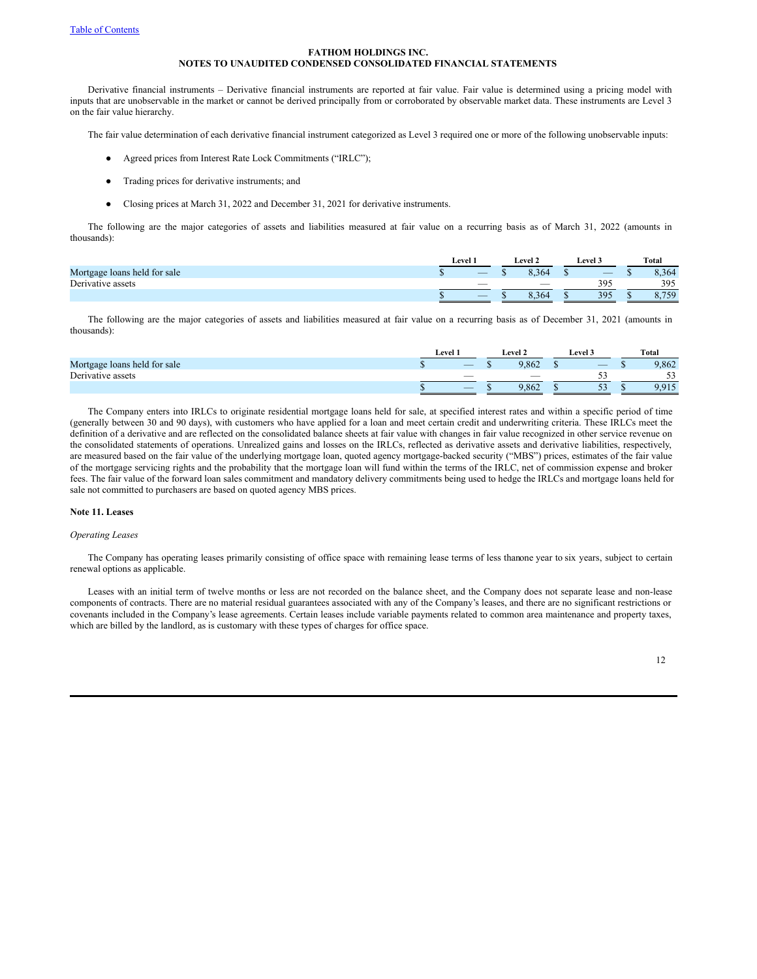Derivative financial instruments – Derivative financial instruments are reported at fair value. Fair value is determined using a pricing model with inputs that are unobservable in the market or cannot be derived principally from or corroborated by observable market data. These instruments are Level 3 on the fair value hierarchy.

The fair value determination of each derivative financial instrument categorized as Level 3 required one or more of the following unobservable inputs:

- Agreed prices from Interest Rate Lock Commitments ("IRLC");
- Trading prices for derivative instruments; and
- Closing prices at March 31, 2022 and December 31, 2021 for derivative instruments.

The following are the major categories of assets and liabilities measured at fair value on a recurring basis as of March 31, 2022 (amounts in thousands):

|                              | <b>Level</b> : |                          | ' .evel 2 | evel .                   | Total       |
|------------------------------|----------------|--------------------------|-----------|--------------------------|-------------|
| Mortgage loans held for sale |                |                          | 8 364     | $\overline{\phantom{a}}$ | 8,364       |
| Derivative assets            |                |                          | __        | 395                      | 395         |
|                              |                | $\overline{\phantom{a}}$ | : 364     | 395                      | 750<br>0.1J |

The following are the major categories of assets and liabilities measured at fair value on a recurring basis as of December 31, 2021 (amounts in thousands):

|                              | Level                    | Level 2 | <b>Level 3</b>                 | Total      |
|------------------------------|--------------------------|---------|--------------------------------|------------|
| Mortgage loans held for sale | $\overline{\phantom{a}}$ | 9.862   | _                              | 9,862      |
| Derivative assets            | $\sim$                   |         | - -                            | د -<br>- - |
|                              | $\overline{\phantom{a}}$ | 9.862   | $\overline{\phantom{a}}$<br>ັບ | 9.915      |

The Company enters into IRLCs to originate residential mortgage loans held for sale, at specified interest rates and within a specific period of time (generally between 30 and 90 days), with customers who have applied for a loan and meet certain credit and underwriting criteria. These IRLCs meet the definition of a derivative and are reflected on the consolidated balance sheets at fair value with changes in fair value recognized in other service revenue on the consolidated statements of operations. Unrealized gains and losses on the IRLCs, reflected as derivative assets and derivative liabilities, respectively, are measured based on the fair value of the underlying mortgage loan, quoted agency mortgage-backed security ("MBS") prices, estimates of the fair value of the mortgage servicing rights and the probability that the mortgage loan will fund within the terms of the IRLC, net of commission expense and broker fees. The fair value of the forward loan sales commitment and mandatory delivery commitments being used to hedge the IRLCs and mortgage loans held for sale not committed to purchasers are based on quoted agency MBS prices.

#### **Note 11. Leases**

### *Operating Leases*

The Company has operating leases primarily consisting of office space with remaining lease terms of less thanone year to six years, subject to certain renewal options as applicable.

Leases with an initial term of twelve months or less are not recorded on the balance sheet, and the Company does not separate lease and non-lease components of contracts. There are no material residual guarantees associated with any of the Company's leases, and there are no significant restrictions or covenants included in the Company's lease agreements. Certain leases include variable payments related to common area maintenance and property taxes, which are billed by the landlord, as is customary with these types of charges for office space.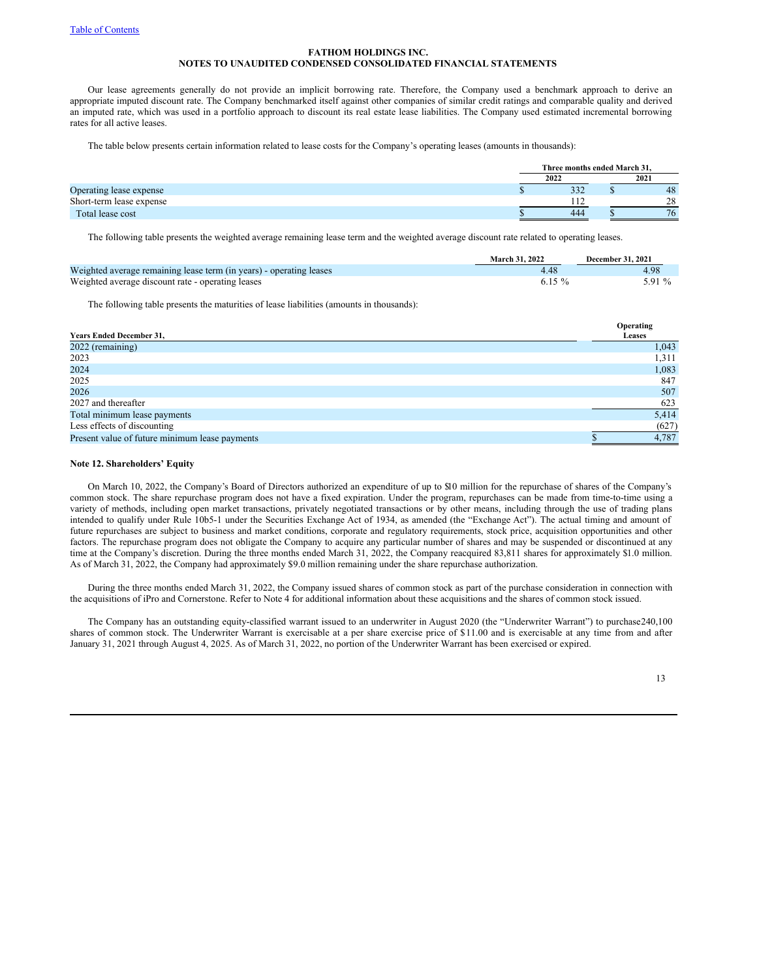Our lease agreements generally do not provide an implicit borrowing rate. Therefore, the Company used a benchmark approach to derive an appropriate imputed discount rate. The Company benchmarked itself against other companies of similar credit ratings and comparable quality and derived an imputed rate, which was used in a portfolio approach to discount its real estate lease liabilities. The Company used estimated incremental borrowing rates for all active leases.

The table below presents certain information related to lease costs for the Company's operating leases (amounts in thousands):

|                          | Three months ended March 31. |  |      |  |  |
|--------------------------|------------------------------|--|------|--|--|
|                          | 2022                         |  | 2021 |  |  |
| Operating lease expense  | 332                          |  | 48   |  |  |
| Short-term lease expense | 112                          |  | 28   |  |  |
| Total lease cost         | 444                          |  | 76   |  |  |

The following table presents the weighted average remaining lease term and the weighted average discount rate related to operating leases.

|                                                                     | March 31, 2022 | December 31, 2021 |
|---------------------------------------------------------------------|----------------|-------------------|
| Weighted average remaining lease term (in years) - operating leases |                | 4.98              |
| Weighted average discount rate - operating leases                   | 6.15 $%$       | 5.91 %            |

The following table presents the maturities of lease liabilities (amounts in thousands):

|                                                | Operating     |
|------------------------------------------------|---------------|
| <b>Years Ended December 31,</b>                | <b>Leases</b> |
| 2022 (remaining)                               | 1,043         |
| 2023                                           | 1,311         |
| 2024                                           | 1,083         |
| 2025                                           | 847           |
| 2026                                           | 507           |
| 2027 and thereafter                            | 623           |
| Total minimum lease payments                   | 5,414         |
| Less effects of discounting                    | (627)         |
| Present value of future minimum lease payments | 4,787         |

### **Note 12. Shareholders' Equity**

On March 10, 2022, the Company's Board of Directors authorized an expenditure of up to \$10 million for the repurchase of shares of the Company's common stock. The share repurchase program does not have a fixed expiration. Under the program, repurchases can be made from time-to-time using a variety of methods, including open market transactions, privately negotiated transactions or by other means, including through the use of trading plans intended to qualify under Rule 10b5-1 under the Securities Exchange Act of 1934, as amended (the "Exchange Act"). The actual timing and amount of future repurchases are subject to business and market conditions, corporate and regulatory requirements, stock price, acquisition opportunities and other factors. The repurchase program does not obligate the Company to acquire any particular number of shares and may be suspended or discontinued at any time at the Company's discretion. During the three months ended March 31, 2022, the Company reacquired 83,811 shares for approximately \$1.0 million. As of March 31, 2022, the Company had approximately \$9.0 million remaining under the share repurchase authorization.

During the three months ended March 31, 2022, the Company issued shares of common stock as part of the purchase consideration in connection with the acquisitions of iPro and Cornerstone. Refer to Note 4 for additional information about these acquisitions and the shares of common stock issued.

The Company has an outstanding equity-classified warrant issued to an underwriter in August 2020 (the "Underwriter Warrant") to purchase240,100 shares of common stock. The Underwriter Warrant is exercisable at a per share exercise price of \$11.00 and is exercisable at any time from and after January 31, 2021 through August 4, 2025. As of March 31, 2022, no portion of the Underwriter Warrant has been exercised or expired.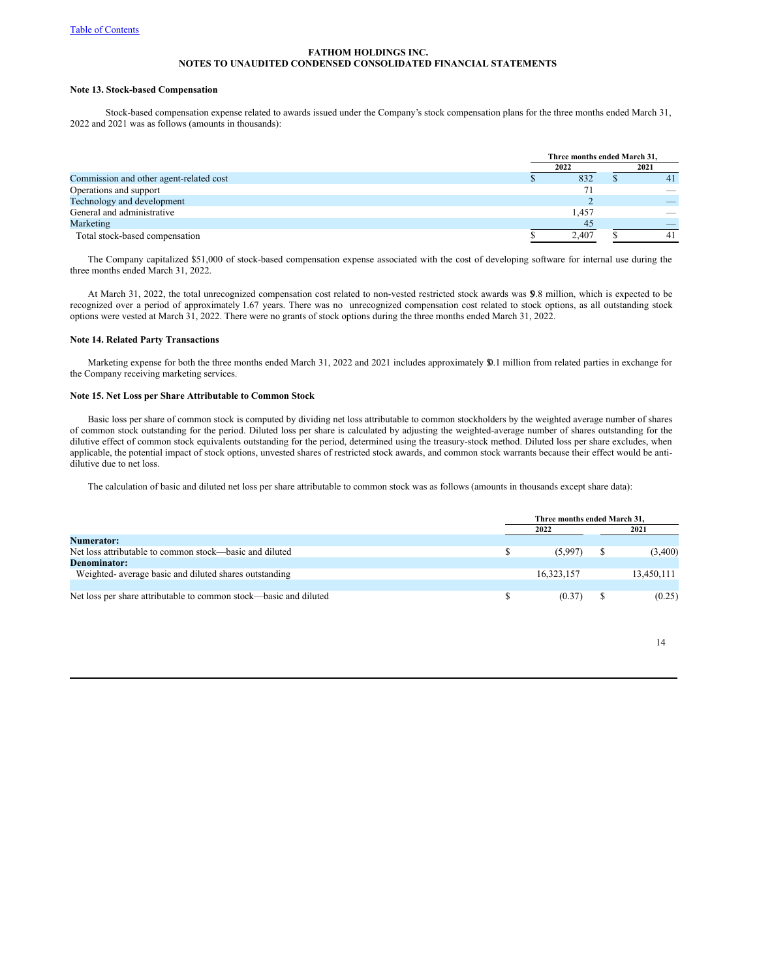## **Note 13. Stock-based Compensation**

Stock-based compensation expense related to awards issued under the Company's stock compensation plans for the three months ended March 31, 2022 and 2021 was as follows (amounts in thousands):

|                                         | Three months ended March 31. |  |      |  |  |
|-----------------------------------------|------------------------------|--|------|--|--|
|                                         | 2022                         |  | 2021 |  |  |
| Commission and other agent-related cost | 832                          |  |      |  |  |
| Operations and support                  |                              |  |      |  |  |
| Technology and development              |                              |  |      |  |  |
| General and administrative              | 1,457                        |  | __   |  |  |
| Marketing                               | 45                           |  |      |  |  |
| Total stock-based compensation          | 2.407                        |  |      |  |  |

The Company capitalized \$51,000 of stock-based compensation expense associated with the cost of developing software for internal use during the three months ended March 31, 2022.

At March 31, 2022, the total unrecognized compensation cost related to non-vested restricted stock awards was \$9.8 million, which is expected to be recognized over a period of approximately 1.67 years. There was no unrecognized compensation cost related to stock options, as all outstanding stock options were vested at March 31, 2022. There were no grants of stock options during the three months ended March 31, 2022.

# **Note 14. Related Party Transactions**

Marketing expense for both the three months ended March 31, 2022 and 2021 includes approximately \$0.1 million from related parties in exchange for the Company receiving marketing services.

### **Note 15. Net Loss per Share Attributable to Common Stock**

Basic loss per share of common stock is computed by dividing net loss attributable to common stockholders by the weighted average number of shares of common stock outstanding for the period. Diluted loss per share is calculated by adjusting the weighted-average number of shares outstanding for the dilutive effect of common stock equivalents outstanding for the period, determined using the treasury-stock method. Diluted loss per share excludes, when applicable, the potential impact of stock options, unvested shares of restricted stock awards, and common stock warrants because their effect would be antidilutive due to net loss.

The calculation of basic and diluted net loss per share attributable to common stock was as follows (amounts in thousands except share data):

|                                                                   | Three months ended March 31. |  |            |  |  |
|-------------------------------------------------------------------|------------------------------|--|------------|--|--|
|                                                                   | 2022                         |  | 2021       |  |  |
| <b>Numerator:</b>                                                 |                              |  |            |  |  |
| Net loss attributable to common stock—basic and diluted           | (5.997)                      |  | (3,400)    |  |  |
| Denominator:                                                      |                              |  |            |  |  |
| Weighted- average basic and diluted shares outstanding            | 16.323.157                   |  | 13,450,111 |  |  |
|                                                                   |                              |  |            |  |  |
| Net loss per share attributable to common stock—basic and diluted | (0.37)                       |  | (0.25)     |  |  |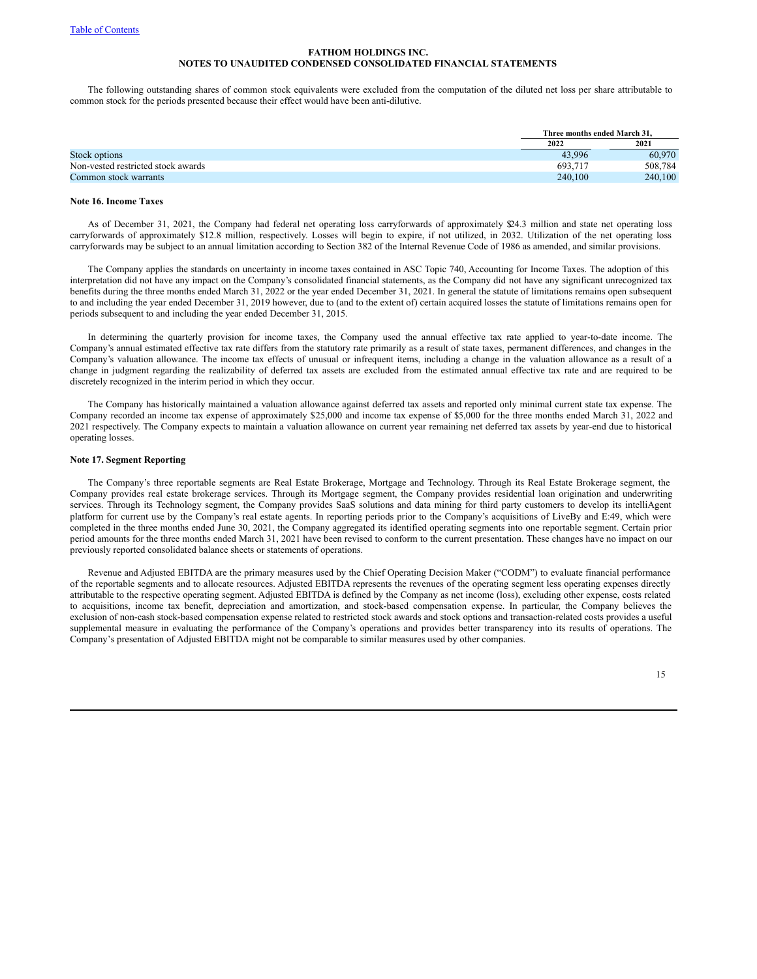The following outstanding shares of common stock equivalents were excluded from the computation of the diluted net loss per share attributable to common stock for the periods presented because their effect would have been anti-dilutive.

|                                    | Three months ended March 31. |         |
|------------------------------------|------------------------------|---------|
|                                    | 2022                         | 2021    |
| Stock options                      | 43.996                       | 60,970  |
| Non-vested restricted stock awards | 693.717                      | 508.784 |
| Common stock warrants              | 240,100                      | 240,100 |

### **Note 16. Income Taxes**

As of December 31, 2021, the Company had federal net operating loss carryforwards of approximately \$24.3 million and state net operating loss carryforwards of approximately \$12.8 million, respectively. Losses will begin to expire, if not utilized, in 2032. Utilization of the net operating loss carryforwards may be subject to an annual limitation according to Section 382 of the Internal Revenue Code of 1986 as amended, and similar provisions.

The Company applies the standards on uncertainty in income taxes contained in ASC Topic 740, Accounting for Income Taxes. The adoption of this interpretation did not have any impact on the Company's consolidated financial statements, as the Company did not have any significant unrecognized tax benefits during the three months ended March 31, 2022 or the year ended December 31, 2021. In general the statute of limitations remains open subsequent to and including the year ended December 31, 2019 however, due to (and to the extent of) certain acquired losses the statute of limitations remains open for periods subsequent to and including the year ended December 31, 2015.

In determining the quarterly provision for income taxes, the Company used the annual effective tax rate applied to year-to-date income. The Company's annual estimated effective tax rate differs from the statutory rate primarily as a result of state taxes, permanent differences, and changes in the Company's valuation allowance. The income tax effects of unusual or infrequent items, including a change in the valuation allowance as a result of a change in judgment regarding the realizability of deferred tax assets are excluded from the estimated annual effective tax rate and are required to be discretely recognized in the interim period in which they occur.

The Company has historically maintained a valuation allowance against deferred tax assets and reported only minimal current state tax expense. The Company recorded an income tax expense of approximately \$25,000 and income tax expense of \$5,000 for the three months ended March 31, 2022 and 2021 respectively. The Company expects to maintain a valuation allowance on current year remaining net deferred tax assets by year-end due to historical operating losses.

## **Note 17. Segment Reporting**

The Company's three reportable segments are Real Estate Brokerage, Mortgage and Technology. Through its Real Estate Brokerage segment, the Company provides real estate brokerage services. Through its Mortgage segment, the Company provides residential loan origination and underwriting services. Through its Technology segment, the Company provides SaaS solutions and data mining for third party customers to develop its intelliAgent platform for current use by the Company's real estate agents. In reporting periods prior to the Company's acquisitions of LiveBy and E:49, which were completed in the three months ended June 30, 2021, the Company aggregated its identified operating segments into one reportable segment. Certain prior period amounts for the three months ended March 31, 2021 have been revised to conform to the current presentation. These changes have no impact on our previously reported consolidated balance sheets or statements of operations.

Revenue and Adjusted EBITDA are the primary measures used by the Chief Operating Decision Maker ("CODM") to evaluate financial performance of the reportable segments and to allocate resources. Adjusted EBITDA represents the revenues of the operating segment less operating expenses directly attributable to the respective operating segment. Adjusted EBITDA is defined by the Company as net income (loss), excluding other expense, costs related to acquisitions, income tax benefit, depreciation and amortization, and stock-based compensation expense. In particular, the Company believes the exclusion of non-cash stock-based compensation expense related to restricted stock awards and stock options and transaction-related costs provides a useful supplemental measure in evaluating the performance of the Company's operations and provides better transparency into its results of operations. The Company's presentation of Adjusted EBITDA might not be comparable to similar measures used by other companies.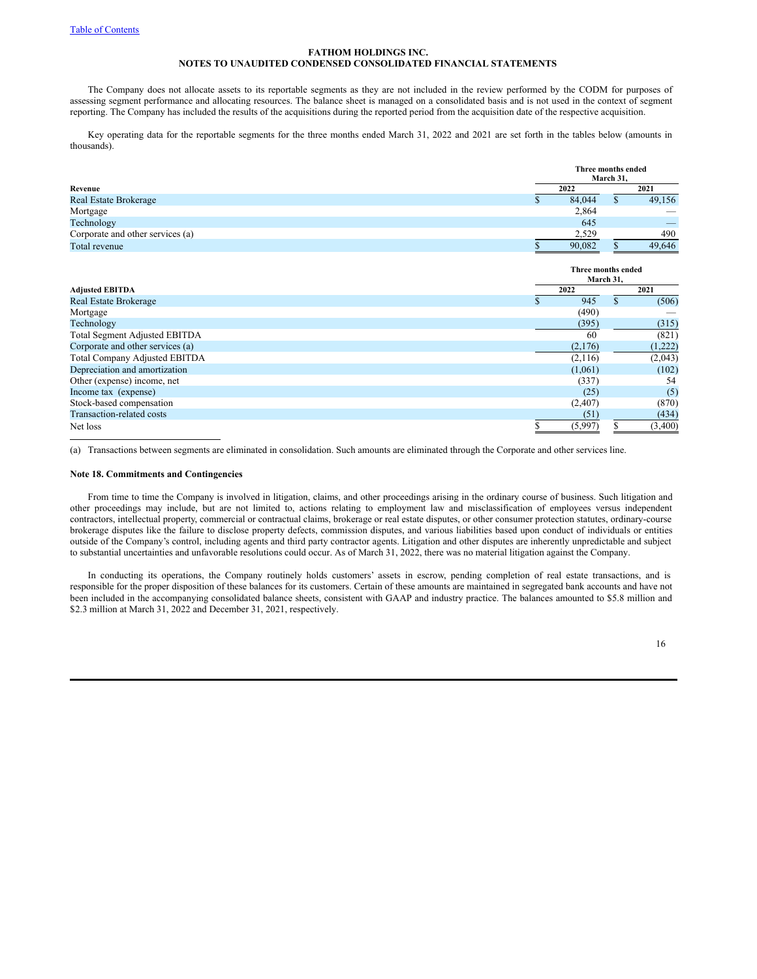The Company does not allocate assets to its reportable segments as they are not included in the review performed by the CODM for purposes of assessing segment performance and allocating resources. The balance sheet is managed on a consolidated basis and is not used in the context of segment reporting. The Company has included the results of the acquisitions during the reported period from the acquisition date of the respective acquisition.

Key operating data for the reportable segments for the three months ended March 31, 2022 and 2021 are set forth in the tables below (amounts in thousands).

|                                  | Three months ended<br>March 31, |        |  |                          |  |  |  |
|----------------------------------|---------------------------------|--------|--|--------------------------|--|--|--|
| Revenue                          |                                 | 2022   |  | 2021                     |  |  |  |
| <b>Real Estate Brokerage</b>     |                                 | 84,044 |  | 49,156                   |  |  |  |
| Mortgage                         |                                 | 2,864  |  | $\overline{\phantom{a}}$ |  |  |  |
| Technology                       |                                 | 645    |  | _                        |  |  |  |
| Corporate and other services (a) |                                 | 2,529  |  | 490                      |  |  |  |
| Total revenue                    |                                 | 90.082 |  | 49.646                   |  |  |  |

|                                      | Three months ended |           |         |  |  |  |
|--------------------------------------|--------------------|-----------|---------|--|--|--|
|                                      |                    | March 31, |         |  |  |  |
| <b>Adjusted EBITDA</b>               | 2022               |           | 2021    |  |  |  |
| <b>Real Estate Brokerage</b>         | 945                |           | (506)   |  |  |  |
| Mortgage                             | (490)              |           |         |  |  |  |
| Technology                           | (395)              |           | (315)   |  |  |  |
| <b>Total Segment Adjusted EBITDA</b> | 60                 |           | (821)   |  |  |  |
| Corporate and other services (a)     | (2,176)            |           | (1,222) |  |  |  |
| Total Company Adjusted EBITDA        | (2,116)            |           | (2,043) |  |  |  |
| Depreciation and amortization        | (1,061)            |           | (102)   |  |  |  |
| Other (expense) income, net          | (337)              |           | 54      |  |  |  |
| Income tax (expense)                 | (25)               |           | (5)     |  |  |  |
| Stock-based compensation             | (2,407)            |           | (870)   |  |  |  |
| Transaction-related costs            | (51)               |           | (434)   |  |  |  |
| Net loss                             | (5,997)            |           | (3,400) |  |  |  |

(a) Transactions between segments are eliminated in consolidation. Such amounts are eliminated through the Corporate and other services line.

# **Note 18. Commitments and Contingencies**

From time to time the Company is involved in litigation, claims, and other proceedings arising in the ordinary course of business. Such litigation and other proceedings may include, but are not limited to, actions relating to employment law and misclassification of employees versus independent contractors, intellectual property, commercial or contractual claims, brokerage or real estate disputes, or other consumer protection statutes, ordinary-course brokerage disputes like the failure to disclose property defects, commission disputes, and various liabilities based upon conduct of individuals or entities outside of the Company's control, including agents and third party contractor agents. Litigation and other disputes are inherently unpredictable and subject to substantial uncertainties and unfavorable resolutions could occur. As of March 31, 2022, there was no material litigation against the Company.

In conducting its operations, the Company routinely holds customers' assets in escrow, pending completion of real estate transactions, and is responsible for the proper disposition of these balances for its customers. Certain of these amounts are maintained in segregated bank accounts and have not been included in the accompanying consolidated balance sheets, consistent with GAAP and industry practice. The balances amounted to \$5.8 million and \$2.3 million at March 31, 2022 and December 31, 2021, respectively.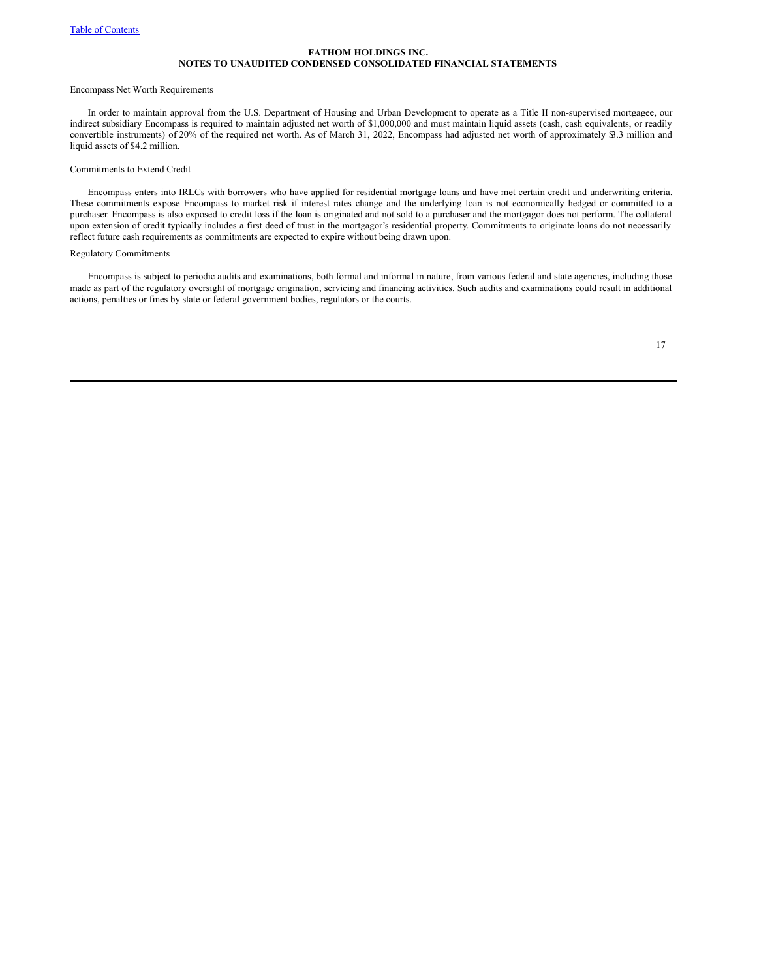### Encompass Net Worth Requirements

In order to maintain approval from the U.S. Department of Housing and Urban Development to operate as a Title II non-supervised mortgagee, our indirect subsidiary Encompass is required to maintain adjusted net worth of \$1,000,000 and must maintain liquid assets (cash, cash equivalents, or readily convertible instruments) of 20% of the required net worth. As of March 31, 2022, Encompass had adjusted net worth of approximately \$3.3 million and liquid assets of \$4.2 million.

### Commitments to Extend Credit

Encompass enters into IRLCs with borrowers who have applied for residential mortgage loans and have met certain credit and underwriting criteria. These commitments expose Encompass to market risk if interest rates change and the underlying loan is not economically hedged or committed to a purchaser. Encompass is also exposed to credit loss if the loan is originated and not sold to a purchaser and the mortgagor does not perform. The collateral upon extension of credit typically includes a first deed of trust in the mortgagor's residential property. Commitments to originate loans do not necessarily reflect future cash requirements as commitments are expected to expire without being drawn upon.

### Regulatory Commitments

Encompass is subject to periodic audits and examinations, both formal and informal in nature, from various federal and state agencies, including those made as part of the regulatory oversight of mortgage origination, servicing and financing activities. Such audits and examinations could result in additional actions, penalties or fines by state or federal government bodies, regulators or the courts.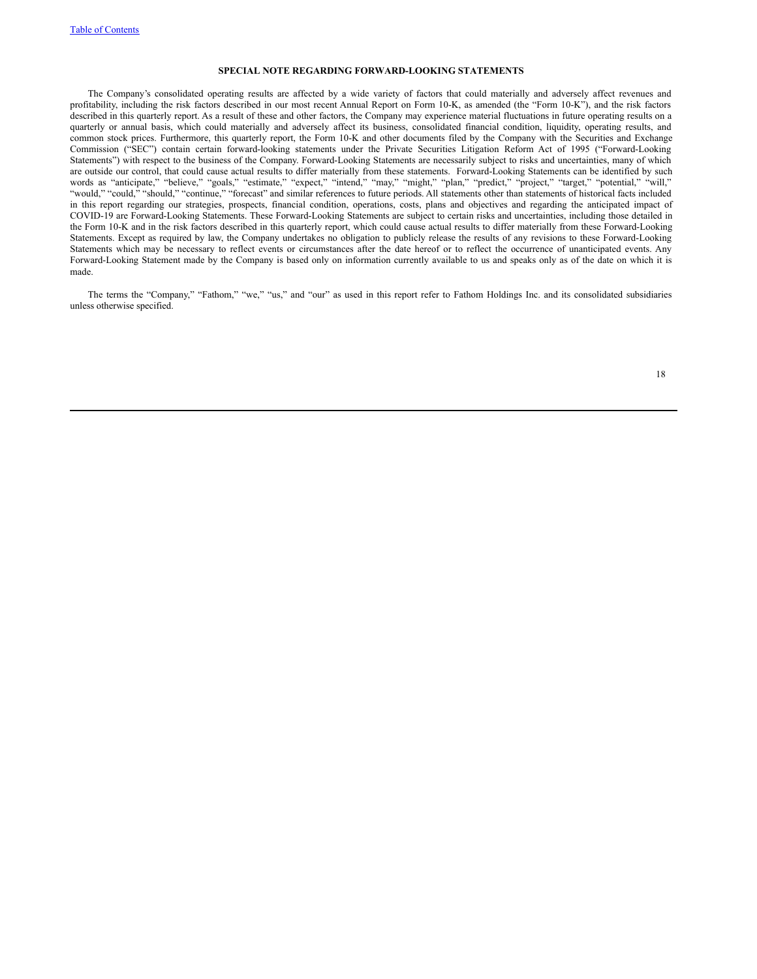#### **SPECIAL NOTE REGARDING FORWARD-LOOKING STATEMENTS**

The Company's consolidated operating results are affected by a wide variety of factors that could materially and adversely affect revenues and profitability, including the risk factors described in our most recent Annual Report on Form 10-K, as amended (the "Form 10-K"), and the risk factors described in this quarterly report. As a result of these and other factors, the Company may experience material fluctuations in future operating results on a quarterly or annual basis, which could materially and adversely affect its business, consolidated financial condition, liquidity, operating results, and common stock prices. Furthermore, this quarterly report, the Form 10-K and other documents filed by the Company with the Securities and Exchange Commission ("SEC") contain certain forward-looking statements under the Private Securities Litigation Reform Act of 1995 ("Forward-Looking Statements") with respect to the business of the Company. Forward-Looking Statements are necessarily subject to risks and uncertainties, many of which are outside our control, that could cause actual results to differ materially from these statements. Forward-Looking Statements can be identified by such words as "anticipate," "believe," "goals," "estimate," "expect," "intend," "may," "might," "plan," "predict," "project," "target," "potential," "will," "would," "could," "should," "continue," "forecast" and similar references to future periods. All statements other than statements of historical facts included in this report regarding our strategies, prospects, financial condition, operations, costs, plans and objectives and regarding the anticipated impact of COVID-19 are Forward-Looking Statements. These Forward-Looking Statements are subject to certain risks and uncertainties, including those detailed in the Form 10-K and in the risk factors described in this quarterly report, which could cause actual results to differ materially from these Forward-Looking Statements. Except as required by law, the Company undertakes no obligation to publicly release the results of any revisions to these Forward-Looking Statements which may be necessary to reflect events or circumstances after the date hereof or to reflect the occurrence of unanticipated events. Any Forward-Looking Statement made by the Company is based only on information currently available to us and speaks only as of the date on which it is made.

The terms the "Company," "Fathom," "we," "us," and "our" as used in this report refer to Fathom Holdings Inc. and its consolidated subsidiaries unless otherwise specified.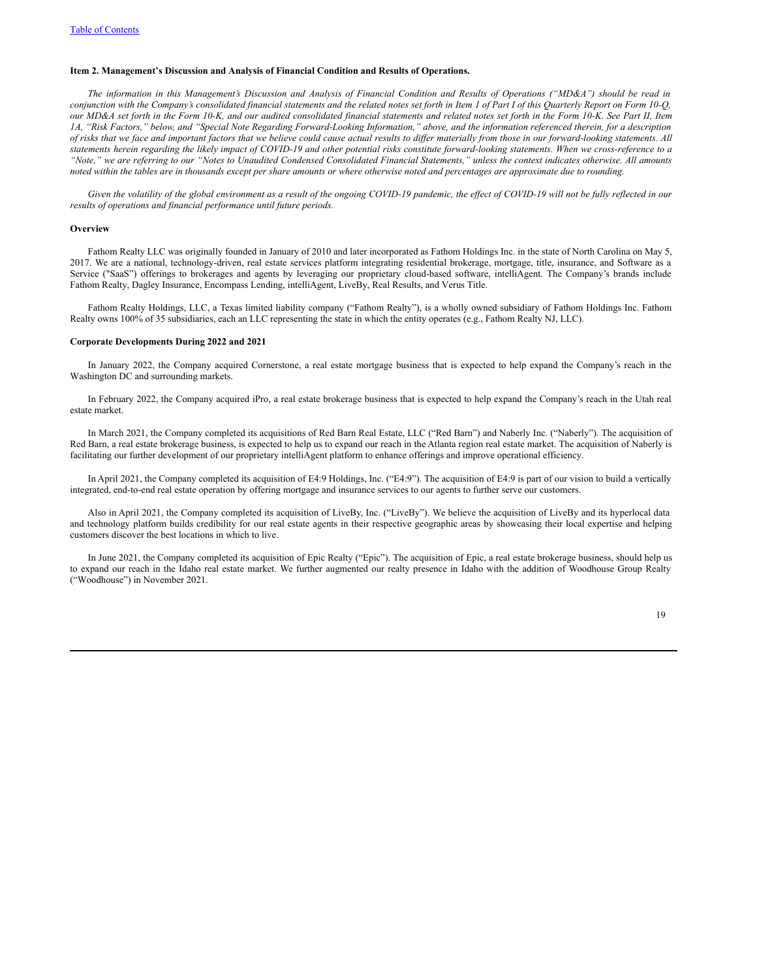### **Item 2. Management's Discussion and Analysis of Financial Condition and Results of Operations.**

The information in this Management's Discussion and Analysis of Financial Condition and Results of Operations ("MD&A") should be read in conjunction with the Company's consolidated financial statements and the related notes set forth in Item 1 of Part I of this Quarterly Report on Form 10-Q, our MD&A set forth in the Form 10-K, and our audited consolidated financial statements and related notes set forth in the Form 10-K. See Part II, Item 1A, "Risk Factors," below, and "Special Note Regarding Forward-Looking Information," above, and the information referenced therein, for a description of risks that we face and important factors that we believe could cause actual results to differ materially from those in our forward-looking statements. All statements herein regarding the likely impact of COVID-19 and other potential risks constitute forward-looking statements. When we cross-reference to a "Note," we are referring to our "Notes to Unaudited Condensed Consolidated Financial Statements," unless the context indicates otherwise. All amounts noted within the tables are in thousands except per share amounts or where otherwise noted and percentages are approximate due to rounding.

Given the volatility of the global environment as a result of the ongoing COVID-19 pandemic, the effect of COVID-19 will not be fully reflected in our *results of operations and financial performance until future periods.*

#### **Overview**

Fathom Realty LLC was originally founded in January of 2010 and later incorporated as Fathom Holdings Inc. in the state of North Carolina on May 5, 2017. We are a national, technology-driven, real estate services platform integrating residential brokerage, mortgage, title, insurance, and Software as a Service ("SaaS") offerings to brokerages and agents by leveraging our proprietary cloud-based software, intelliAgent. The Company's brands include Fathom Realty, Dagley Insurance, Encompass Lending, intelliAgent, LiveBy, Real Results, and Verus Title.

Fathom Realty Holdings, LLC, a Texas limited liability company ("Fathom Realty"), is a wholly owned subsidiary of Fathom Holdings Inc. Fathom Realty owns 100% of 35 subsidiaries, each an LLC representing the state in which the entity operates (e.g., Fathom Realty NJ, LLC).

#### **Corporate Developments During 2022 and 2021**

In January 2022, the Company acquired Cornerstone, a real estate mortgage business that is expected to help expand the Company's reach in the Washington DC and surrounding markets.

In February 2022, the Company acquired iPro, a real estate brokerage business that is expected to help expand the Company's reach in the Utah real estate market.

In March 2021, the Company completed its acquisitions of Red Barn Real Estate, LLC ("Red Barn") and Naberly Inc. ("Naberly"). The acquisition of Red Barn, a real estate brokerage business, is expected to help us to expand our reach in the Atlanta region real estate market. The acquisition of Naberly is facilitating our further development of our proprietary intelliAgent platform to enhance offerings and improve operational efficiency.

In April 2021, the Company completed its acquisition of E4:9 Holdings, Inc. ("E4:9"). The acquisition of E4:9 is part of our vision to build a vertically integrated, end-to-end real estate operation by offering mortgage and insurance services to our agents to further serve our customers.

Also in April 2021, the Company completed its acquisition of LiveBy, Inc. ("LiveBy"). We believe the acquisition of LiveBy and its hyperlocal data and technology platform builds credibility for our real estate agents in their respective geographic areas by showcasing their local expertise and helping customers discover the best locations in which to live.

In June 2021, the Company completed its acquisition of Epic Realty ("Epic"). The acquisition of Epic, a real estate brokerage business, should help us to expand our reach in the Idaho real estate market. We further augmented our realty presence in Idaho with the addition of Woodhouse Group Realty ("Woodhouse") in November 2021.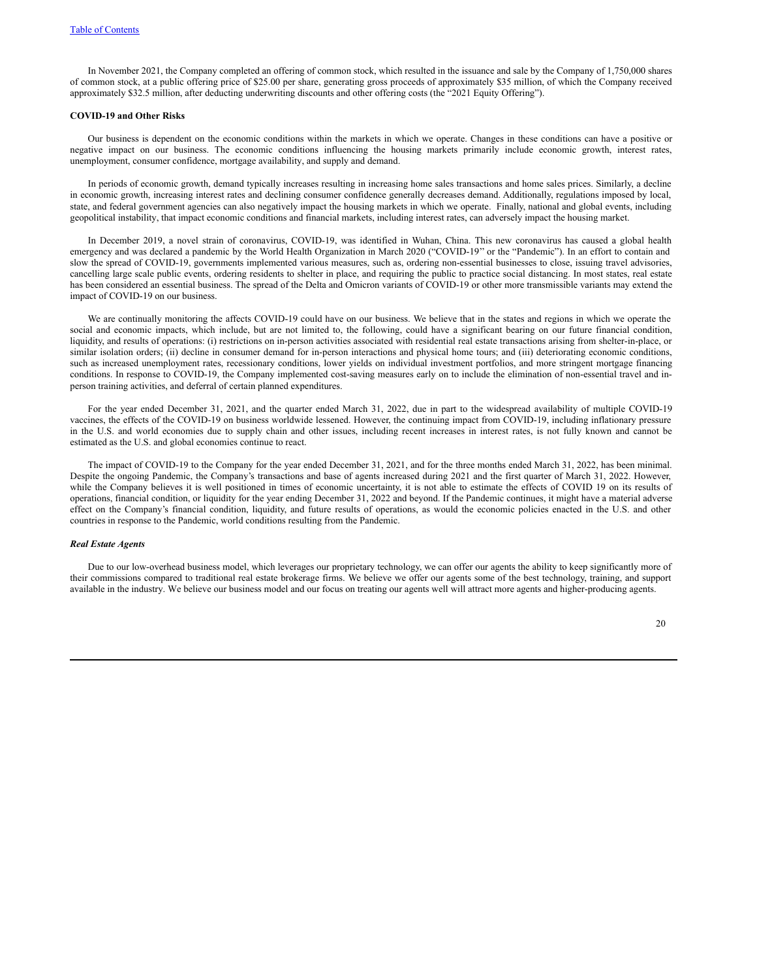In November 2021, the Company completed an offering of common stock, which resulted in the issuance and sale by the Company of 1,750,000 shares of common stock, at a public offering price of \$25.00 per share, generating gross proceeds of approximately \$35 million, of which the Company received approximately \$32.5 million, after deducting underwriting discounts and other offering costs (the "2021 Equity Offering").

#### **COVID-19 and Other Risks**

Our business is dependent on the economic conditions within the markets in which we operate. Changes in these conditions can have a positive or negative impact on our business. The economic conditions influencing the housing markets primarily include economic growth, interest rates, unemployment, consumer confidence, mortgage availability, and supply and demand.

In periods of economic growth, demand typically increases resulting in increasing home sales transactions and home sales prices. Similarly, a decline in economic growth, increasing interest rates and declining consumer confidence generally decreases demand. Additionally, regulations imposed by local, state, and federal government agencies can also negatively impact the housing markets in which we operate. Finally, national and global events, including geopolitical instability, that impact economic conditions and financial markets, including interest rates, can adversely impact the housing market.

In December 2019, a novel strain of coronavirus, COVID-19, was identified in Wuhan, China. This new coronavirus has caused a global health emergency and was declared a pandemic by the World Health Organization in March 2020 ("COVID-19'' or the "Pandemic"). In an effort to contain and slow the spread of COVID-19, governments implemented various measures, such as, ordering non-essential businesses to close, issuing travel advisories, cancelling large scale public events, ordering residents to shelter in place, and requiring the public to practice social distancing. In most states, real estate has been considered an essential business. The spread of the Delta and Omicron variants of COVID-19 or other more transmissible variants may extend the impact of COVID-19 on our business.

We are continually monitoring the affects COVID-19 could have on our business. We believe that in the states and regions in which we operate the social and economic impacts, which include, but are not limited to, the following, could have a significant bearing on our future financial condition, liquidity, and results of operations: (i) restrictions on in-person activities associated with residential real estate transactions arising from shelter-in-place, or similar isolation orders; (ii) decline in consumer demand for in-person interactions and physical home tours; and (iii) deteriorating economic conditions, such as increased unemployment rates, recessionary conditions, lower yields on individual investment portfolios, and more stringent mortgage financing conditions. In response to COVID-19, the Company implemented cost-saving measures early on to include the elimination of non-essential travel and inperson training activities, and deferral of certain planned expenditures.

For the year ended December 31, 2021, and the quarter ended March 31, 2022, due in part to the widespread availability of multiple COVID-19 vaccines, the effects of the COVID-19 on business worldwide lessened. However, the continuing impact from COVID-19, including inflationary pressure in the U.S. and world economies due to supply chain and other issues, including recent increases in interest rates, is not fully known and cannot be estimated as the U.S. and global economies continue to react.

The impact of COVID-19 to the Company for the year ended December 31, 2021, and for the three months ended March 31, 2022, has been minimal. Despite the ongoing Pandemic, the Company's transactions and base of agents increased during 2021 and the first quarter of March 31, 2022. However, while the Company believes it is well positioned in times of economic uncertainty, it is not able to estimate the effects of COVID 19 on its results of operations, financial condition, or liquidity for the year ending December 31, 2022 and beyond. If the Pandemic continues, it might have a material adverse effect on the Company's financial condition, liquidity, and future results of operations, as would the economic policies enacted in the U.S. and other countries in response to the Pandemic, world conditions resulting from the Pandemic.

### *Real Estate Agents*

Due to our low-overhead business model, which leverages our proprietary technology, we can offer our agents the ability to keep significantly more of their commissions compared to traditional real estate brokerage firms. We believe we offer our agents some of the best technology, training, and support available in the industry. We believe our business model and our focus on treating our agents well will attract more agents and higher-producing agents.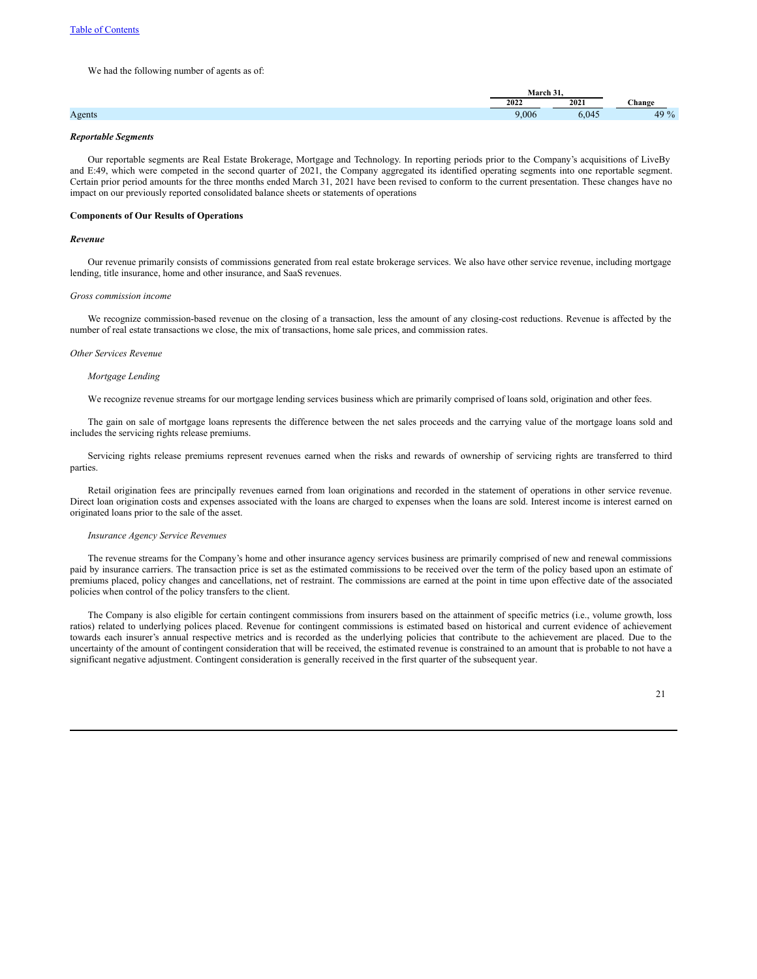We had the following number of agents as of:

|         | $\Lambda$ |     |       |  |  |
|---------|-----------|-----|-------|--|--|
|         | 202       | 202 | nangs |  |  |
| 1152110 | .006      |     | 7 U   |  |  |

# *Reportable Segments*

Our reportable segments are Real Estate Brokerage, Mortgage and Technology. In reporting periods prior to the Company's acquisitions of LiveBy and E:49, which were competed in the second quarter of 2021, the Company aggregated its identified operating segments into one reportable segment. Certain prior period amounts for the three months ended March 31, 2021 have been revised to conform to the current presentation. These changes have no impact on our previously reported consolidated balance sheets or statements of operations

### **Components of Our Results of Operations**

#### *Revenue*

Our revenue primarily consists of commissions generated from real estate brokerage services. We also have other service revenue, including mortgage lending, title insurance, home and other insurance, and SaaS revenues.

#### *Gross commission income*

We recognize commission-based revenue on the closing of a transaction, less the amount of any closing-cost reductions. Revenue is affected by the number of real estate transactions we close, the mix of transactions, home sale prices, and commission rates.

#### *Other Services Revenue*

#### *Mortgage Lending*

We recognize revenue streams for our mortgage lending services business which are primarily comprised of loans sold, origination and other fees.

The gain on sale of mortgage loans represents the difference between the net sales proceeds and the carrying value of the mortgage loans sold and includes the servicing rights release premiums.

Servicing rights release premiums represent revenues earned when the risks and rewards of ownership of servicing rights are transferred to third parties.

Retail origination fees are principally revenues earned from loan originations and recorded in the statement of operations in other service revenue. Direct loan origination costs and expenses associated with the loans are charged to expenses when the loans are sold. Interest income is interest earned on originated loans prior to the sale of the asset.

### *Insurance Agency Service Revenues*

The revenue streams for the Company's home and other insurance agency services business are primarily comprised of new and renewal commissions paid by insurance carriers. The transaction price is set as the estimated commissions to be received over the term of the policy based upon an estimate of premiums placed, policy changes and cancellations, net of restraint. The commissions are earned at the point in time upon effective date of the associated policies when control of the policy transfers to the client.

The Company is also eligible for certain contingent commissions from insurers based on the attainment of specific metrics (i.e., volume growth, loss ratios) related to underlying polices placed. Revenue for contingent commissions is estimated based on historical and current evidence of achievement towards each insurer's annual respective metrics and is recorded as the underlying policies that contribute to the achievement are placed. Due to the uncertainty of the amount of contingent consideration that will be received, the estimated revenue is constrained to an amount that is probable to not have a significant negative adjustment. Contingent consideration is generally received in the first quarter of the subsequent year.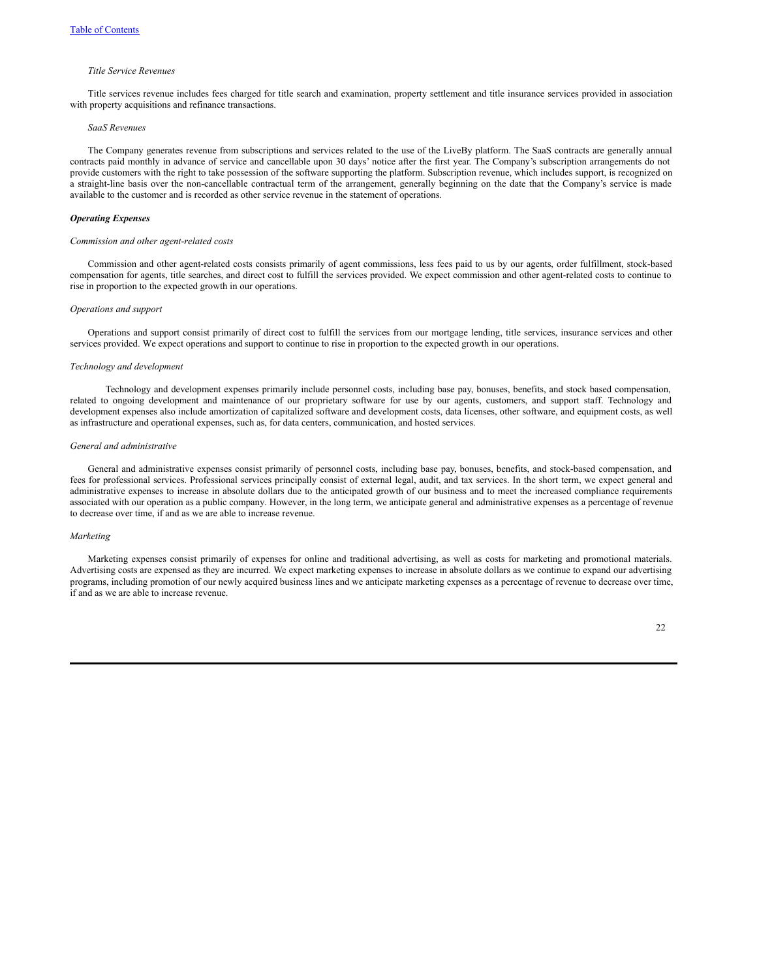#### *Title Service Revenues*

Title services revenue includes fees charged for title search and examination, property settlement and title insurance services provided in association with property acquisitions and refinance transactions.

## *SaaS Revenues*

The Company generates revenue from subscriptions and services related to the use of the LiveBy platform. The SaaS contracts are generally annual contracts paid monthly in advance of service and cancellable upon 30 days' notice after the first year. The Company's subscription arrangements do not provide customers with the right to take possession of the software supporting the platform. Subscription revenue, which includes support, is recognized on a straight-line basis over the non-cancellable contractual term of the arrangement, generally beginning on the date that the Company's service is made available to the customer and is recorded as other service revenue in the statement of operations.

### *Operating Expenses*

#### *Commission and other agent-related costs*

Commission and other agent-related costs consists primarily of agent commissions, less fees paid to us by our agents, order fulfillment, stock-based compensation for agents, title searches, and direct cost to fulfill the services provided. We expect commission and other agent-related costs to continue to rise in proportion to the expected growth in our operations.

#### *Operations and support*

Operations and support consist primarily of direct cost to fulfill the services from our mortgage lending, title services, insurance services and other services provided. We expect operations and support to continue to rise in proportion to the expected growth in our operations.

#### *Technology and development*

Technology and development expenses primarily include personnel costs, including base pay, bonuses, benefits, and stock based compensation, related to ongoing development and maintenance of our proprietary software for use by our agents, customers, and support staff. Technology and development expenses also include amortization of capitalized software and development costs, data licenses, other software, and equipment costs, as well as infrastructure and operational expenses, such as, for data centers, communication, and hosted services.

#### *General and administrative*

General and administrative expenses consist primarily of personnel costs, including base pay, bonuses, benefits, and stock-based compensation, and fees for professional services. Professional services principally consist of external legal, audit, and tax services. In the short term, we expect general and administrative expenses to increase in absolute dollars due to the anticipated growth of our business and to meet the increased compliance requirements associated with our operation as a public company. However, in the long term, we anticipate general and administrative expenses as a percentage of revenue to decrease over time, if and as we are able to increase revenue.

#### *Marketing*

Marketing expenses consist primarily of expenses for online and traditional advertising, as well as costs for marketing and promotional materials. Advertising costs are expensed as they are incurred. We expect marketing expenses to increase in absolute dollars as we continue to expand our advertising programs, including promotion of our newly acquired business lines and we anticipate marketing expenses as a percentage of revenue to decrease over time, if and as we are able to increase revenue.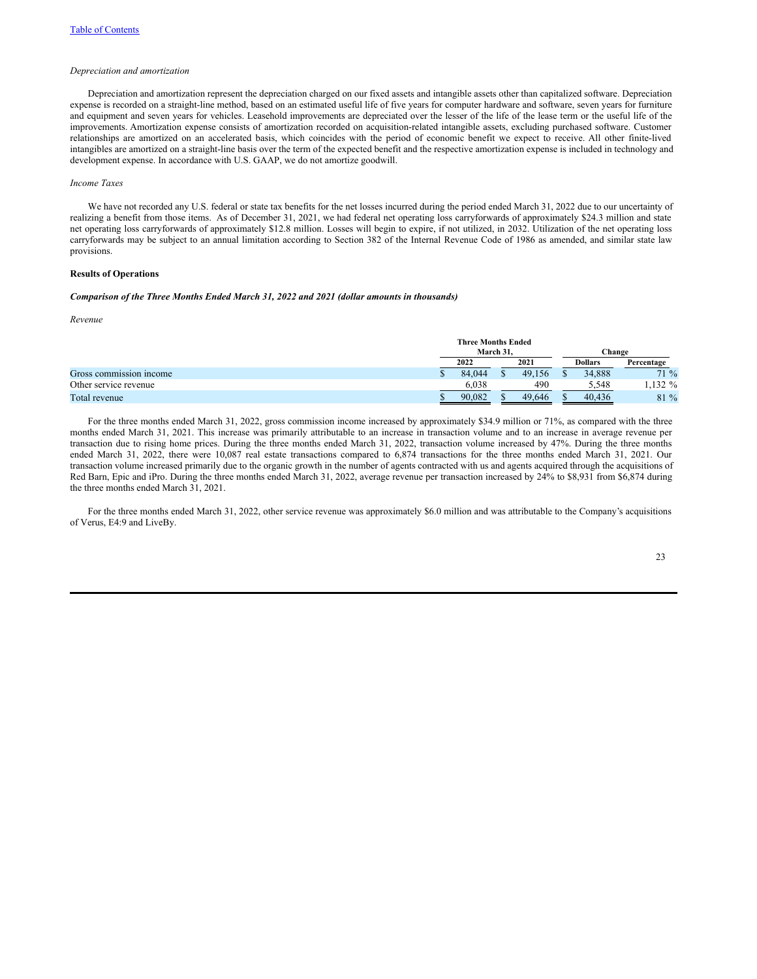#### *Depreciation and amortization*

Depreciation and amortization represent the depreciation charged on our fixed assets and intangible assets other than capitalized software. Depreciation expense is recorded on a straight-line method, based on an estimated useful life of five years for computer hardware and software, seven years for furniture and equipment and seven years for vehicles. Leasehold improvements are depreciated over the lesser of the life of the lease term or the useful life of the improvements. Amortization expense consists of amortization recorded on acquisition-related intangible assets, excluding purchased software. Customer relationships are amortized on an accelerated basis, which coincides with the period of economic benefit we expect to receive. All other finite-lived intangibles are amortized on a straight-line basis over the term of the expected benefit and the respective amortization expense is included in technology and development expense. In accordance with U.S. GAAP, we do not amortize goodwill.

#### *Income Taxes*

We have not recorded any U.S. federal or state tax benefits for the net losses incurred during the period ended March 31, 2022 due to our uncertainty of realizing a benefit from those items. As of December 31, 2021, we had federal net operating loss carryforwards of approximately \$24.3 million and state net operating loss carryforwards of approximately \$12.8 million. Losses will begin to expire, if not utilized, in 2032. Utilization of the net operating loss carryforwards may be subject to an annual limitation according to Section 382 of the Internal Revenue Code of 1986 as amended, and similar state law provisions.

### **Results of Operations**

### *Comparison of the Three Months Ended March 31, 2022 and 2021 (dollar amounts in thousands)*

*Revenue*

|                         | <b>Three Months Ended</b> |  |        |  |                |            |  |
|-------------------------|---------------------------|--|--------|--|----------------|------------|--|
|                         | March 31.                 |  |        |  | Change         |            |  |
|                         | 2022                      |  | 2021   |  | <b>Dollars</b> | Percentage |  |
| Gross commission income | 84.044                    |  | 49.156 |  | 34,888         | $71\%$     |  |
| Other service revenue   | 6.038                     |  | 490    |  | 5.548          | $.132\%$   |  |
| Total revenue           | 90.082                    |  | 49,646 |  | 40.436         | 81 %       |  |

For the three months ended March 31, 2022, gross commission income increased by approximately \$34.9 million or 71%, as compared with the three months ended March 31, 2021. This increase was primarily attributable to an increase in transaction volume and to an increase in average revenue per transaction due to rising home prices. During the three months ended March 31, 2022, transaction volume increased by 47%. During the three months ended March 31, 2022, there were 10,087 real estate transactions compared to 6,874 transactions for the three months ended March 31, 2021. Our transaction volume increased primarily due to the organic growth in the number of agents contracted with us and agents acquired through the acquisitions of Red Barn, Epic and iPro. During the three months ended March 31, 2022, average revenue per transaction increased by 24% to \$8,931 from \$6,874 during the three months ended March 31, 2021.

For the three months ended March 31, 2022, other service revenue was approximately \$6.0 million and was attributable to the Company's acquisitions of Verus, E4:9 and LiveBy.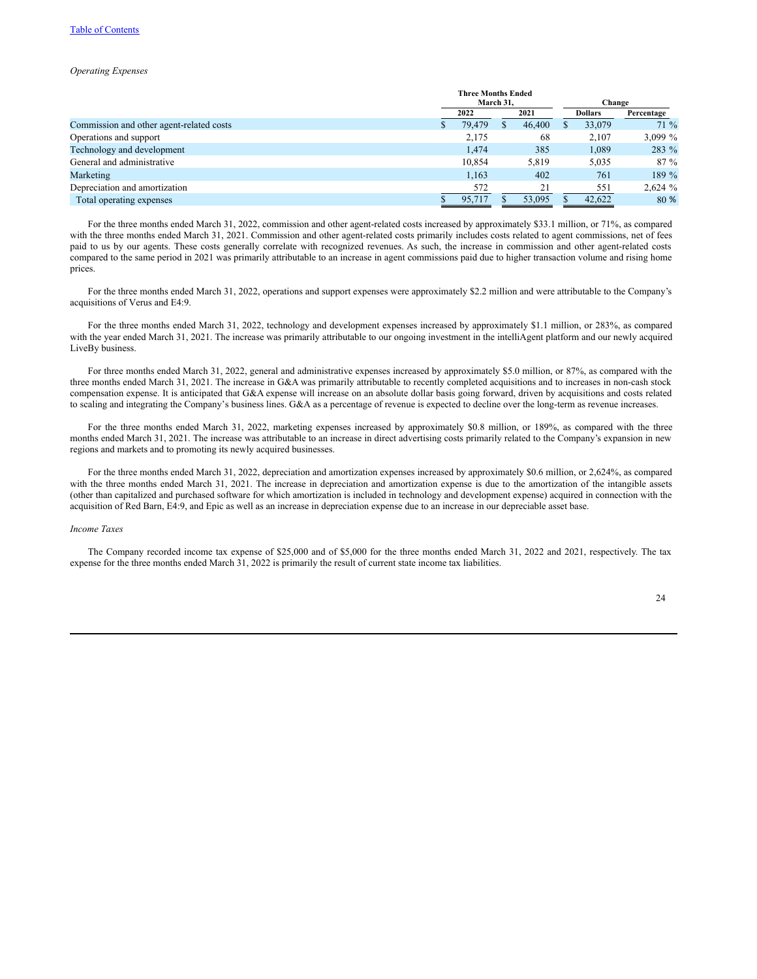### Table of [Contents](#page-0-0)

#### *Operating Expenses*

|                                          |           | <b>Three Months Ended</b> |  |        |  |                |            |
|------------------------------------------|-----------|---------------------------|--|--------|--|----------------|------------|
|                                          | March 31, |                           |  | Change |  |                |            |
|                                          |           | 2022                      |  | 2021   |  | <b>Dollars</b> | Percentage |
| Commission and other agent-related costs |           | 79.479                    |  | 46,400 |  | 33,079         | $71\%$     |
| Operations and support                   |           | 2,175                     |  | 68     |  | 2,107          | 3,099 $%$  |
| Technology and development               |           | 1,474                     |  | 385    |  | 1,089          | 283 %      |
| General and administrative               |           | 10,854                    |  | 5,819  |  | 5,035          | $87\%$     |
| Marketing                                |           | 1.163                     |  | 402    |  | 761            | 189 %      |
| Depreciation and amortization            |           | 572                       |  | 21     |  | 551            | 2,624%     |
| Total operating expenses                 |           | 95,717                    |  | 53,095 |  | 42,622         | 80 %       |

For the three months ended March 31, 2022, commission and other agent-related costs increased by approximately \$33.1 million, or 71%, as compared with the three months ended March 31, 2021. Commission and other agent-related costs primarily includes costs related to agent commissions, net of fees paid to us by our agents. These costs generally correlate with recognized revenues. As such, the increase in commission and other agent-related costs compared to the same period in 2021 was primarily attributable to an increase in agent commissions paid due to higher transaction volume and rising home prices.

For the three months ended March 31, 2022, operations and support expenses were approximately \$2.2 million and were attributable to the Company's acquisitions of Verus and E4:9.

For the three months ended March 31, 2022, technology and development expenses increased by approximately \$1.1 million, or 283%, as compared with the year ended March 31, 2021. The increase was primarily attributable to our ongoing investment in the intelliAgent platform and our newly acquired LiveBy business.

For three months ended March 31, 2022, general and administrative expenses increased by approximately \$5.0 million, or 87%, as compared with the three months ended March 31, 2021. The increase in G&A was primarily attributable to recently completed acquisitions and to increases in non-cash stock compensation expense. It is anticipated that G&A expense will increase on an absolute dollar basis going forward, driven by acquisitions and costs related to scaling and integrating the Company's business lines. G&A as a percentage of revenue is expected to decline over the long-term as revenue increases.

For the three months ended March 31, 2022, marketing expenses increased by approximately \$0.8 million, or 189%, as compared with the three months ended March 31, 2021. The increase was attributable to an increase in direct advertising costs primarily related to the Company's expansion in new regions and markets and to promoting its newly acquired businesses.

For the three months ended March 31, 2022, depreciation and amortization expenses increased by approximately \$0.6 million, or 2,624%, as compared with the three months ended March 31, 2021. The increase in depreciation and amortization expense is due to the amortization of the intangible assets (other than capitalized and purchased software for which amortization is included in technology and development expense) acquired in connection with the acquisition of Red Barn, E4:9, and Epic as well as an increase in depreciation expense due to an increase in our depreciable asset base.

# *Income Taxes*

The Company recorded income tax expense of \$25,000 and of \$5,000 for the three months ended March 31, 2022 and 2021, respectively. The tax expense for the three months ended March 31, 2022 is primarily the result of current state income tax liabilities.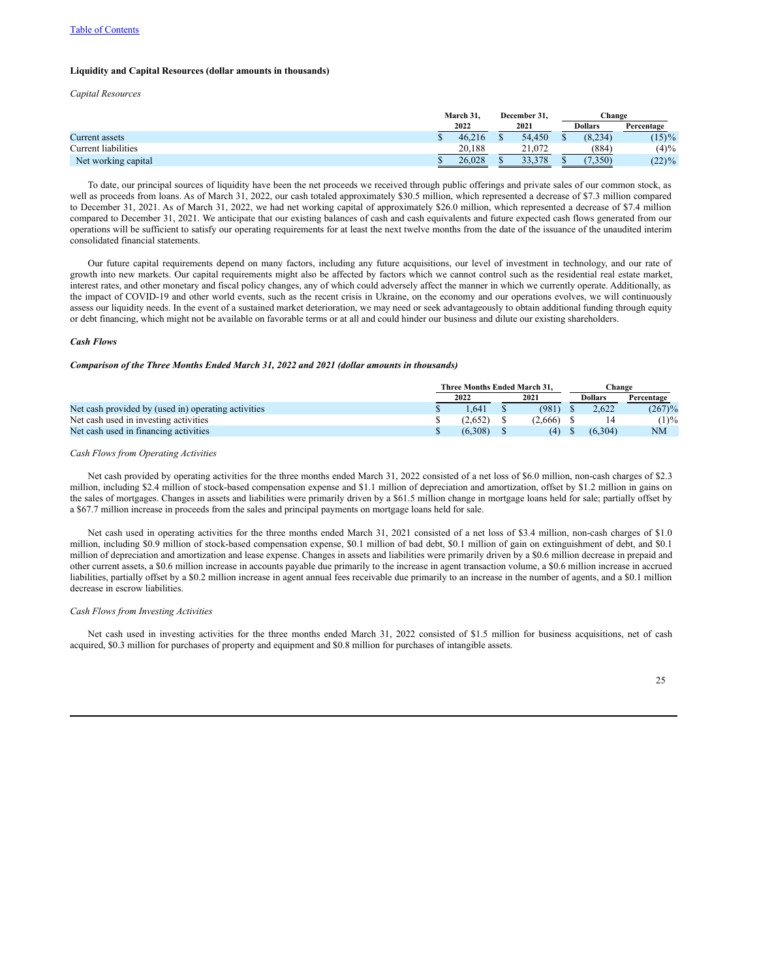### **Liquidity and Capital Resources (dollar amounts in thousands)**

*Capital Resources*

|                     | March 31. |  | December 31. |  | Change         |            |  |
|---------------------|-----------|--|--------------|--|----------------|------------|--|
|                     | 2022      |  | 2021         |  | <b>Dollars</b> | Percentage |  |
| Current assets      | 46.216    |  | 54.450       |  | (8, 234)       | $(15)\%$   |  |
| Current liabilities | 20.188    |  | 21,072       |  | (884)          | $(4)\%$    |  |
| Net working capital | 26.028    |  | 33.378       |  | (0.350)        | $(22)\%$   |  |

To date, our principal sources of liquidity have been the net proceeds we received through public offerings and private sales of our common stock, as well as proceeds from loans. As of March 31, 2022, our cash totaled approximately \$30.5 million, which represented a decrease of \$7.3 million compared to December 31, 2021. As of March 31, 2022, we had net working capital of approximately \$26.0 million, which represented a decrease of \$7.4 million compared to December 31, 2021. We anticipate that our existing balances of cash and cash equivalents and future expected cash flows generated from our operations will be sufficient to satisfy our operating requirements for at least the next twelve months from the date of the issuance of the unaudited interim consolidated financial statements.

Our future capital requirements depend on many factors, including any future acquisitions, our level of investment in technology, and our rate of growth into new markets. Our capital requirements might also be affected by factors which we cannot control such as the residential real estate market, interest rates, and other monetary and fiscal policy changes, any of which could adversely affect the manner in which we currently operate. Additionally, as the impact of COVID-19 and other world events, such as the recent crisis in Ukraine, on the economy and our operations evolves, we will continuously assess our liquidity needs. In the event of a sustained market deterioration, we may need or seek advantageously to obtain additional funding through equity or debt financing, which might not be available on favorable terms or at all and could hinder our business and dilute our existing shareholders.

#### *Cash Flows*

# *Comparison of the Three Months Ended March 31, 2022 and 2021 (dollar amounts in thousands)*

|                                                     | Three Months Ended March 31. |  |         | Change         |            |
|-----------------------------------------------------|------------------------------|--|---------|----------------|------------|
|                                                     | 2022                         |  | 2021    | <b>Dollars</b> | Percentage |
| Net cash provided by (used in) operating activities | .641                         |  | (981)   | 2.622          | (267)%     |
| Net cash used in investing activities               | (2.652)                      |  | (2.666) |                | $(1)\%$    |
| Net cash used in financing activities               | (6.308)                      |  | (4)     | (6,304)        | NM         |

#### *Cash Flows from Operating Activities*

Net cash provided by operating activities for the three months ended March 31, 2022 consisted of a net loss of \$6.0 million, non-cash charges of \$2.3 million, including \$2.4 million of stock-based compensation expense and \$1.1 million of depreciation and amortization, offset by \$1.2 million in gains on the sales of mortgages. Changes in assets and liabilities were primarily driven by a \$61.5 million change in mortgage loans held for sale; partially offset by a \$67.7 million increase in proceeds from the sales and principal payments on mortgage loans held for sale.

Net cash used in operating activities for the three months ended March 31, 2021 consisted of a net loss of \$3.4 million, non-cash charges of \$1.0 million, including \$0.9 million of stock-based compensation expense, \$0.1 million of bad debt, \$0.1 million of gain on extinguishment of debt, and \$0.1 million of depreciation and amortization and lease expense. Changes in assets and liabilities were primarily driven by a \$0.6 million decrease in prepaid and other current assets, a \$0.6 million increase in accounts payable due primarily to the increase in agent transaction volume, a \$0.6 million increase in accrued liabilities, partially offset by a \$0.2 million increase in agent annual fees receivable due primarily to an increase in the number of agents, and a \$0.1 million decrease in escrow liabilities.

#### *Cash Flows from Investing Activities*

Net cash used in investing activities for the three months ended March 31, 2022 consisted of \$1.5 million for business acquisitions, net of cash acquired, \$0.3 million for purchases of property and equipment and \$0.8 million for purchases of intangible assets.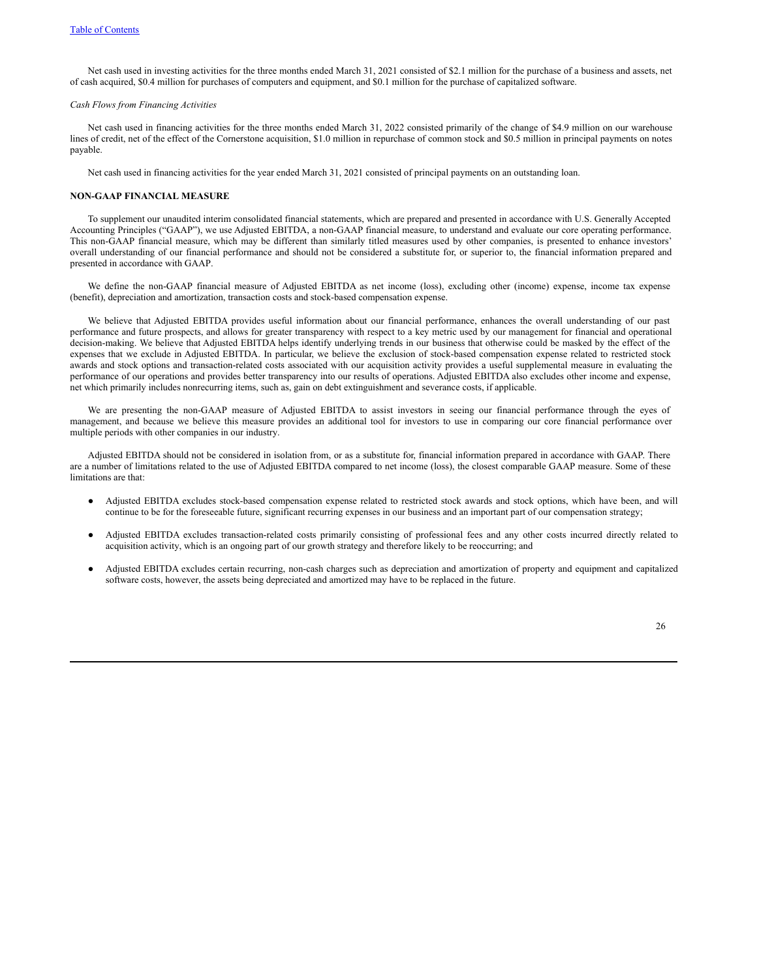Net cash used in investing activities for the three months ended March 31, 2021 consisted of \$2.1 million for the purchase of a business and assets, net of cash acquired, \$0.4 million for purchases of computers and equipment, and \$0.1 million for the purchase of capitalized software.

### *Cash Flows from Financing Activities*

Net cash used in financing activities for the three months ended March 31, 2022 consisted primarily of the change of \$4.9 million on our warehouse lines of credit, net of the effect of the Cornerstone acquisition, \$1.0 million in repurchase of common stock and \$0.5 million in principal payments on notes payable.

Net cash used in financing activities for the year ended March 31, 2021 consisted of principal payments on an outstanding loan.

### **NON-GAAP FINANCIAL MEASURE**

To supplement our unaudited interim consolidated financial statements, which are prepared and presented in accordance with U.S. Generally Accepted Accounting Principles ("GAAP"), we use Adjusted EBITDA, a non-GAAP financial measure, to understand and evaluate our core operating performance. This non-GAAP financial measure, which may be different than similarly titled measures used by other companies, is presented to enhance investors' overall understanding of our financial performance and should not be considered a substitute for, or superior to, the financial information prepared and presented in accordance with GAAP.

We define the non-GAAP financial measure of Adjusted EBITDA as net income (loss), excluding other (income) expense, income tax expense (benefit), depreciation and amortization, transaction costs and stock-based compensation expense.

We believe that Adjusted EBITDA provides useful information about our financial performance, enhances the overall understanding of our past performance and future prospects, and allows for greater transparency with respect to a key metric used by our management for financial and operational decision-making. We believe that Adjusted EBITDA helps identify underlying trends in our business that otherwise could be masked by the effect of the expenses that we exclude in Adjusted EBITDA. In particular, we believe the exclusion of stock-based compensation expense related to restricted stock awards and stock options and transaction-related costs associated with our acquisition activity provides a useful supplemental measure in evaluating the performance of our operations and provides better transparency into our results of operations. Adjusted EBITDA also excludes other income and expense, net which primarily includes nonrecurring items, such as, gain on debt extinguishment and severance costs, if applicable.

We are presenting the non-GAAP measure of Adjusted EBITDA to assist investors in seeing our financial performance through the eyes of management, and because we believe this measure provides an additional tool for investors to use in comparing our core financial performance over multiple periods with other companies in our industry.

Adjusted EBITDA should not be considered in isolation from, or as a substitute for, financial information prepared in accordance with GAAP. There are a number of limitations related to the use of Adjusted EBITDA compared to net income (loss), the closest comparable GAAP measure. Some of these limitations are that:

- Adjusted EBITDA excludes stock-based compensation expense related to restricted stock awards and stock options, which have been, and will continue to be for the foreseeable future, significant recurring expenses in our business and an important part of our compensation strategy;
- Adjusted EBITDA excludes transaction-related costs primarily consisting of professional fees and any other costs incurred directly related to acquisition activity, which is an ongoing part of our growth strategy and therefore likely to be reoccurring; and
- Adjusted EBITDA excludes certain recurring, non-cash charges such as depreciation and amortization of property and equipment and capitalized software costs, however, the assets being depreciated and amortized may have to be replaced in the future.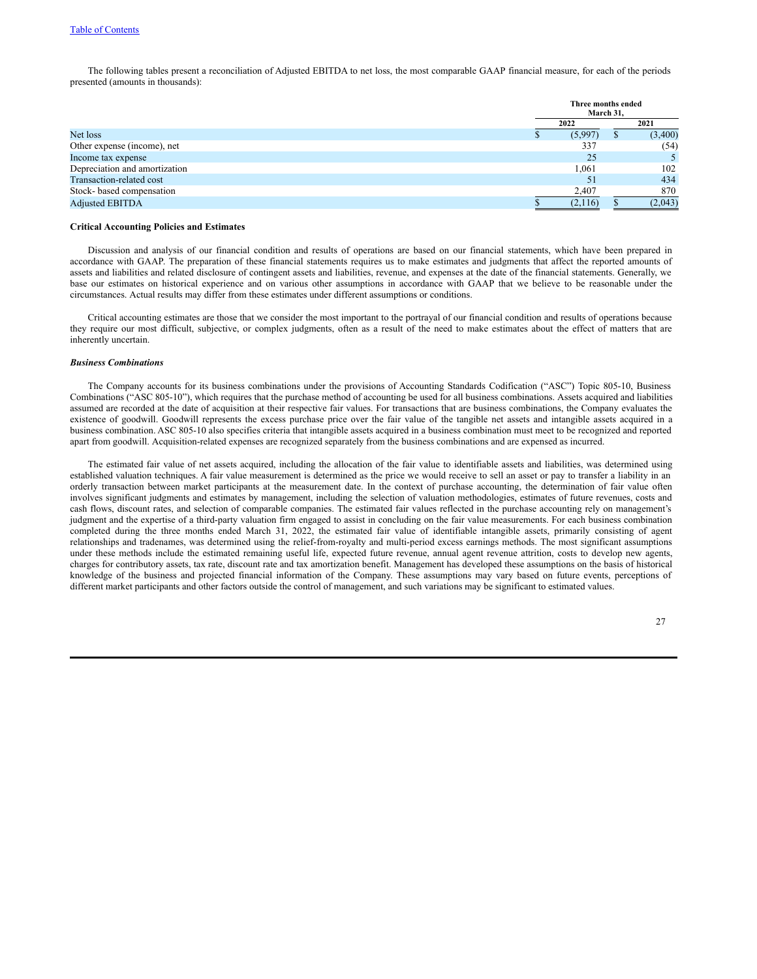The following tables present a reconciliation of Adjusted EBITDA to net loss, the most comparable GAAP financial measure, for each of the periods presented (amounts in thousands):

|                               |  | Three months ended<br>March 31, |  |         |  |  |
|-------------------------------|--|---------------------------------|--|---------|--|--|
|                               |  |                                 |  | 2021    |  |  |
| Net loss                      |  | (5,997)                         |  | (3,400) |  |  |
| Other expense (income), net   |  | 337                             |  | (54)    |  |  |
| Income tax expense            |  | 25                              |  |         |  |  |
| Depreciation and amortization |  | 1,061                           |  | 102     |  |  |
| Transaction-related cost      |  | 51                              |  | 434     |  |  |
| Stock-based compensation      |  | 2,407                           |  | 870     |  |  |
| <b>Adjusted EBITDA</b>        |  | (2,116)                         |  | (2,043) |  |  |

#### **Critical Accounting Policies and Estimates**

Discussion and analysis of our financial condition and results of operations are based on our financial statements, which have been prepared in accordance with GAAP. The preparation of these financial statements requires us to make estimates and judgments that affect the reported amounts of assets and liabilities and related disclosure of contingent assets and liabilities, revenue, and expenses at the date of the financial statements. Generally, we base our estimates on historical experience and on various other assumptions in accordance with GAAP that we believe to be reasonable under the circumstances. Actual results may differ from these estimates under different assumptions or conditions.

Critical accounting estimates are those that we consider the most important to the portrayal of our financial condition and results of operations because they require our most difficult, subjective, or complex judgments, often as a result of the need to make estimates about the effect of matters that are inherently uncertain.

### *Business Combinations*

The Company accounts for its business combinations under the provisions of Accounting Standards Codification ("ASC") Topic 805-10, Business Combinations ("ASC 805-10"), which requires that the purchase method of accounting be used for all business combinations. Assets acquired and liabilities assumed are recorded at the date of acquisition at their respective fair values. For transactions that are business combinations, the Company evaluates the existence of goodwill. Goodwill represents the excess purchase price over the fair value of the tangible net assets and intangible assets acquired in a business combination. ASC 805-10 also specifies criteria that intangible assets acquired in a business combination must meet to be recognized and reported apart from goodwill. Acquisition-related expenses are recognized separately from the business combinations and are expensed as incurred.

The estimated fair value of net assets acquired, including the allocation of the fair value to identifiable assets and liabilities, was determined using established valuation techniques. A fair value measurement is determined as the price we would receive to sell an asset or pay to transfer a liability in an orderly transaction between market participants at the measurement date. In the context of purchase accounting, the determination of fair value often involves significant judgments and estimates by management, including the selection of valuation methodologies, estimates of future revenues, costs and cash flows, discount rates, and selection of comparable companies. The estimated fair values reflected in the purchase accounting rely on management's judgment and the expertise of a third-party valuation firm engaged to assist in concluding on the fair value measurements. For each business combination completed during the three months ended March 31, 2022, the estimated fair value of identifiable intangible assets, primarily consisting of agent relationships and tradenames, was determined using the relief-from-royalty and multi-period excess earnings methods. The most significant assumptions under these methods include the estimated remaining useful life, expected future revenue, annual agent revenue attrition, costs to develop new agents, charges for contributory assets, tax rate, discount rate and tax amortization benefit. Management has developed these assumptions on the basis of historical knowledge of the business and projected financial information of the Company. These assumptions may vary based on future events, perceptions of different market participants and other factors outside the control of management, and such variations may be significant to estimated values.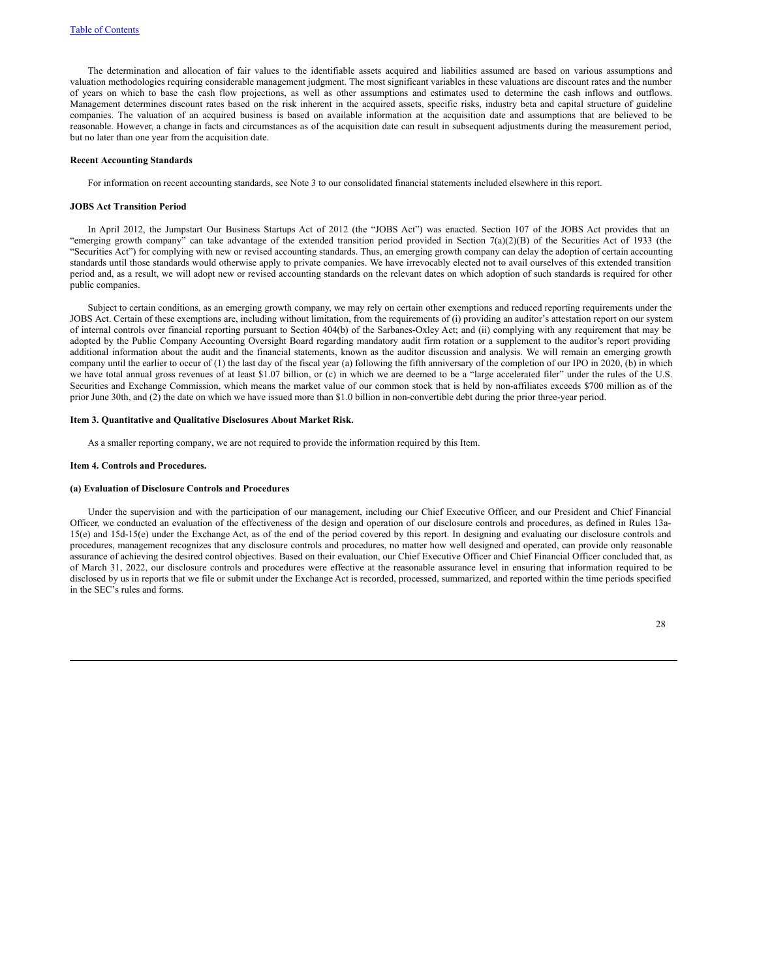The determination and allocation of fair values to the identifiable assets acquired and liabilities assumed are based on various assumptions and valuation methodologies requiring considerable management judgment. The most significant variables in these valuations are discount rates and the number of years on which to base the cash flow projections, as well as other assumptions and estimates used to determine the cash inflows and outflows. Management determines discount rates based on the risk inherent in the acquired assets, specific risks, industry beta and capital structure of guideline companies. The valuation of an acquired business is based on available information at the acquisition date and assumptions that are believed to be reasonable. However, a change in facts and circumstances as of the acquisition date can result in subsequent adjustments during the measurement period, but no later than one year from the acquisition date.

#### **Recent Accounting Standards**

For information on recent accounting standards, see Note 3 to our consolidated financial statements included elsewhere in this report.

#### **JOBS Act Transition Period**

In April 2012, the Jumpstart Our Business Startups Act of 2012 (the "JOBS Act") was enacted. Section 107 of the JOBS Act provides that an "emerging growth company" can take advantage of the extended transition period provided in Section 7(a)(2)(B) of the Securities Act of 1933 (the "Securities Act") for complying with new or revised accounting standards. Thus, an emerging growth company can delay the adoption of certain accounting standards until those standards would otherwise apply to private companies. We have irrevocably elected not to avail ourselves of this extended transition period and, as a result, we will adopt new or revised accounting standards on the relevant dates on which adoption of such standards is required for other public companies.

Subject to certain conditions, as an emerging growth company, we may rely on certain other exemptions and reduced reporting requirements under the JOBS Act. Certain of these exemptions are, including without limitation, from the requirements of (i) providing an auditor's attestation report on our system of internal controls over financial reporting pursuant to Section 404(b) of the Sarbanes-Oxley Act; and (ii) complying with any requirement that may be adopted by the Public Company Accounting Oversight Board regarding mandatory audit firm rotation or a supplement to the auditor's report providing additional information about the audit and the financial statements, known as the auditor discussion and analysis. We will remain an emerging growth company until the earlier to occur of (1) the last day of the fiscal year (a) following the fifth anniversary of the completion of our IPO in 2020, (b) in which we have total annual gross revenues of at least \$1.07 billion, or (c) in which we are deemed to be a "large accelerated filer" under the rules of the U.S. Securities and Exchange Commission, which means the market value of our common stock that is held by non-affiliates exceeds \$700 million as of the prior June 30th, and (2) the date on which we have issued more than \$1.0 billion in non-convertible debt during the prior three-year period.

#### **Item 3. Quantitative and Qualitative Disclosures About Market Risk.**

As a smaller reporting company, we are not required to provide the information required by this Item.

#### **Item 4. Controls and Procedures.**

### **(a) Evaluation of Disclosure Controls and Procedures**

Under the supervision and with the participation of our management, including our Chief Executive Officer, and our President and Chief Financial Officer, we conducted an evaluation of the effectiveness of the design and operation of our disclosure controls and procedures, as defined in Rules 13a-15(e) and 15d-15(e) under the Exchange Act, as of the end of the period covered by this report. In designing and evaluating our disclosure controls and procedures, management recognizes that any disclosure controls and procedures, no matter how well designed and operated, can provide only reasonable assurance of achieving the desired control objectives. Based on their evaluation, our Chief Executive Officer and Chief Financial Officer concluded that, as of March 31, 2022, our disclosure controls and procedures were effective at the reasonable assurance level in ensuring that information required to be disclosed by us in reports that we file or submit under the Exchange Act is recorded, processed, summarized, and reported within the time periods specified in the SEC's rules and forms.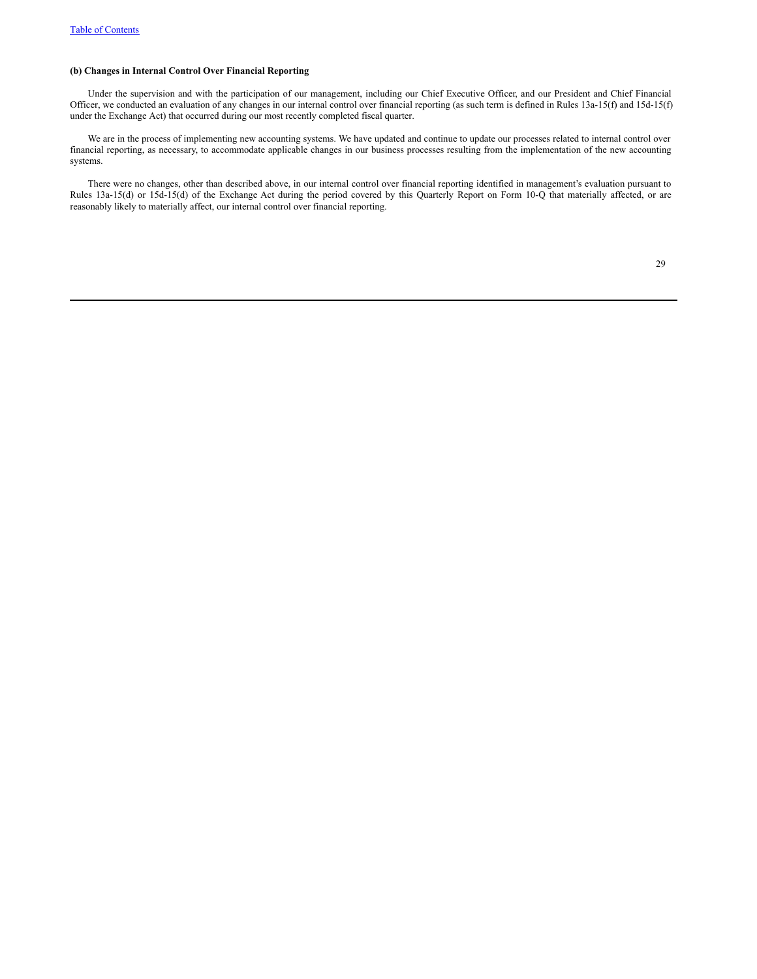# **(b) Changes in Internal Control Over Financial Reporting**

Under the supervision and with the participation of our management, including our Chief Executive Officer, and our President and Chief Financial Officer, we conducted an evaluation of any changes in our internal control over financial reporting (as such term is defined in Rules 13a-15(f) and 15d-15(f) under the Exchange Act) that occurred during our most recently completed fiscal quarter.

We are in the process of implementing new accounting systems. We have updated and continue to update our processes related to internal control over financial reporting, as necessary, to accommodate applicable changes in our business processes resulting from the implementation of the new accounting systems.

There were no changes, other than described above, in our internal control over financial reporting identified in management's evaluation pursuant to Rules 13a-15(d) or 15d-15(d) of the Exchange Act during the period covered by this Quarterly Report on Form 10-Q that materially affected, or are reasonably likely to materially affect, our internal control over financial reporting.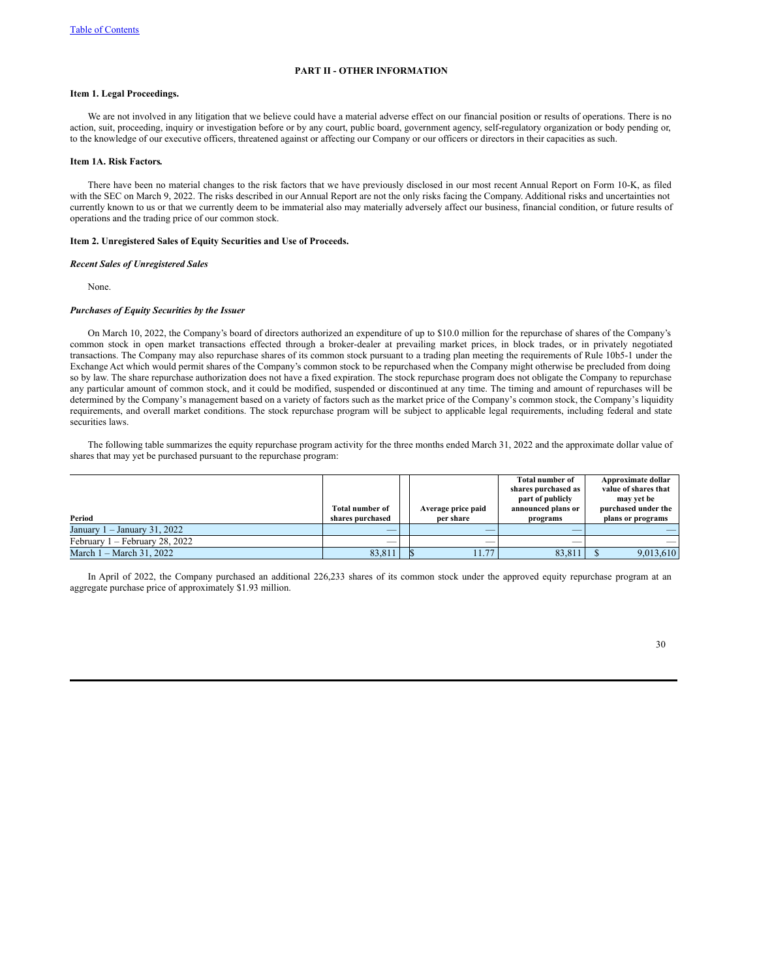## **PART II - OTHER INFORMATION**

# **Item 1. Legal Proceedings.**

We are not involved in any litigation that we believe could have a material adverse effect on our financial position or results of operations. There is no action, suit, proceeding, inquiry or investigation before or by any court, public board, government agency, self-regulatory organization or body pending or, to the knowledge of our executive officers, threatened against or affecting our Company or our officers or directors in their capacities as such.

# **Item 1A. Risk Factors.**

There have been no material changes to the risk factors that we have previously disclosed in our most recent Annual Report on Form 10-K, as filed with the SEC on March 9, 2022. The risks described in our Annual Report are not the only risks facing the Company. Additional risks and uncertainties not currently known to us or that we currently deem to be immaterial also may materially adversely affect our business, financial condition, or future results of operations and the trading price of our common stock.

#### **Item 2. Unregistered Sales of Equity Securities and Use of Proceeds.**

# *Recent Sales of Unregistered Sales*

None.

#### *Purchases of Equity Securities by the Issuer*

On March 10, 2022, the Company's board of directors authorized an expenditure of up to \$10.0 million for the repurchase of shares of the Company's common stock in open market transactions effected through a broker-dealer at prevailing market prices, in block trades, or in privately negotiated transactions. The Company may also repurchase shares of its common stock pursuant to a trading plan meeting the requirements of Rule 10b5-1 under the Exchange Act which would permit shares of the Company's common stock to be repurchased when the Company might otherwise be precluded from doing so by law. The share repurchase authorization does not have a fixed expiration. The stock repurchase program does not obligate the Company to repurchase any particular amount of common stock, and it could be modified, suspended or discontinued at any time. The timing and amount of repurchases will be determined by the Company's management based on a variety of factors such as the market price of the Company's common stock, the Company's liquidity requirements, and overall market conditions. The stock repurchase program will be subject to applicable legal requirements, including federal and state securities laws.

The following table summarizes the equity repurchase program activity for the three months ended March 31, 2022 and the approximate dollar value of shares that may yet be purchased pursuant to the repurchase program:

|                                  |                        |                    | <b>Total number of</b> | Approximate dollar   |
|----------------------------------|------------------------|--------------------|------------------------|----------------------|
|                                  |                        |                    | shares purchased as    | value of shares that |
|                                  |                        |                    | part of publicly       | may yet be           |
|                                  | <b>Total number of</b> | Average price paid | announced plans or     | purchased under the  |
| Period                           | shares purchased       | per share          | programs               | plans or programs    |
| January 1 – January 31, 2022     | $-$                    |                    |                        |                      |
| February $1 -$ February 28, 2022 |                        |                    |                        |                      |
| March 1 – March 31, 2022         | 83.811                 | 11.77              | 83,811                 | 9,013,610            |

In April of 2022, the Company purchased an additional 226,233 shares of its common stock under the approved equity repurchase program at an aggregate purchase price of approximately \$1.93 million.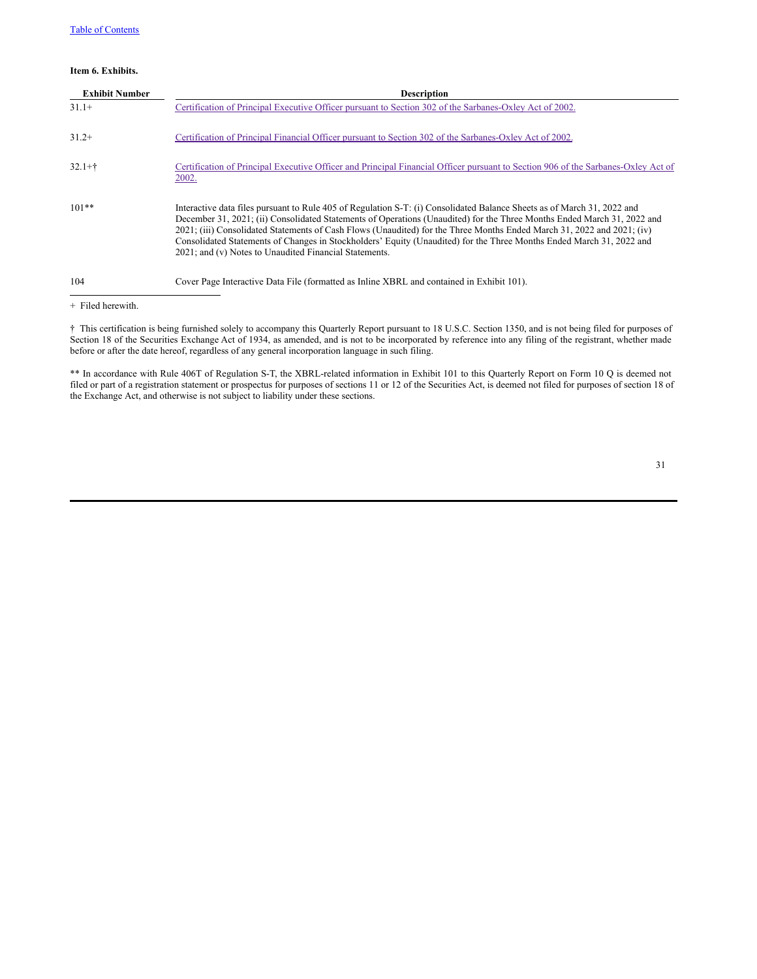### **Item 6. Exhibits.**

| <b>Exhibit Number</b> | <b>Description</b>                                                                                                                                                                                                                                                                                                                                                                                                                                                                                                                                             |
|-----------------------|----------------------------------------------------------------------------------------------------------------------------------------------------------------------------------------------------------------------------------------------------------------------------------------------------------------------------------------------------------------------------------------------------------------------------------------------------------------------------------------------------------------------------------------------------------------|
| $31.1+$               | Certification of Principal Executive Officer pursuant to Section 302 of the Sarbanes-Oxley Act of 2002.                                                                                                                                                                                                                                                                                                                                                                                                                                                        |
| $31.2+$               | Certification of Principal Financial Officer pursuant to Section 302 of the Sarbanes-Oxley Act of 2002.                                                                                                                                                                                                                                                                                                                                                                                                                                                        |
| $32.1 +$ †            | Certification of Principal Executive Officer and Principal Financial Officer pursuant to Section 906 of the Sarbanes-Oxley Act of<br>2002.                                                                                                                                                                                                                                                                                                                                                                                                                     |
| $101**$               | Interactive data files pursuant to Rule 405 of Regulation S-T: (i) Consolidated Balance Sheets as of March 31, 2022 and<br>December 31, 2021; (ii) Consolidated Statements of Operations (Unaudited) for the Three Months Ended March 31, 2022 and<br>2021; (iii) Consolidated Statements of Cash Flows (Unaudited) for the Three Months Ended March 31, 2022 and 2021; (iv)<br>Consolidated Statements of Changes in Stockholders' Equity (Unaudited) for the Three Months Ended March 31, 2022 and<br>2021; and (v) Notes to Unaudited Financial Statements. |
| 104                   | Cover Page Interactive Data File (formatted as Inline XBRL and contained in Exhibit 101).                                                                                                                                                                                                                                                                                                                                                                                                                                                                      |

+ Filed herewith.

† This certification is being furnished solely to accompany this Quarterly Report pursuant to 18 U.S.C. Section 1350, and is not being filed for purposes of Section 18 of the Securities Exchange Act of 1934, as amended, and is not to be incorporated by reference into any filing of the registrant, whether made before or after the date hereof, regardless of any general incorporation language in such filing.

\*\* In accordance with Rule 406T of Regulation S-T, the XBRL-related information in Exhibit 101 to this Quarterly Report on Form 10 Q is deemed not filed or part of a registration statement or prospectus for purposes of sections 11 or 12 of the Securities Act, is deemed not filed for purposes of section 18 of the Exchange Act, and otherwise is not subject to liability under these sections.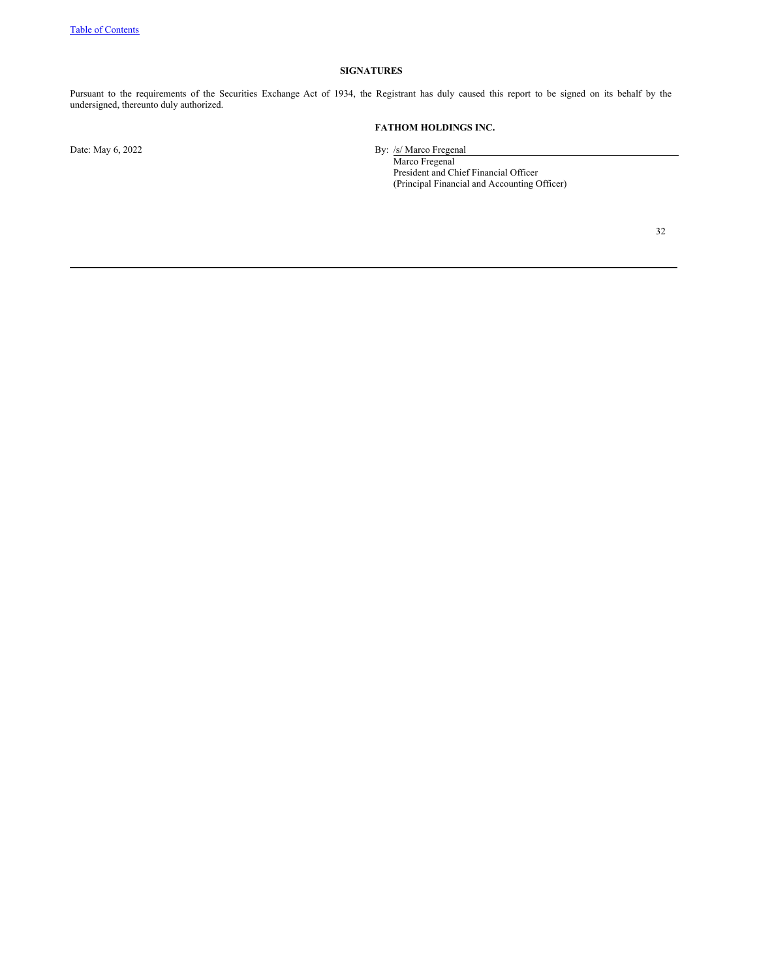# **SIGNATURES**

Pursuant to the requirements of the Securities Exchange Act of 1934, the Registrant has duly caused this report to be signed on its behalf by the undersigned, thereunto duly authorized.

**FATHOM HOLDINGS INC.**

Date: May 6, 2022 By: /s/ Marco Fregenal

Marco Fregenal President and Chief Financial Officer (Principal Financial and Accounting Officer)

32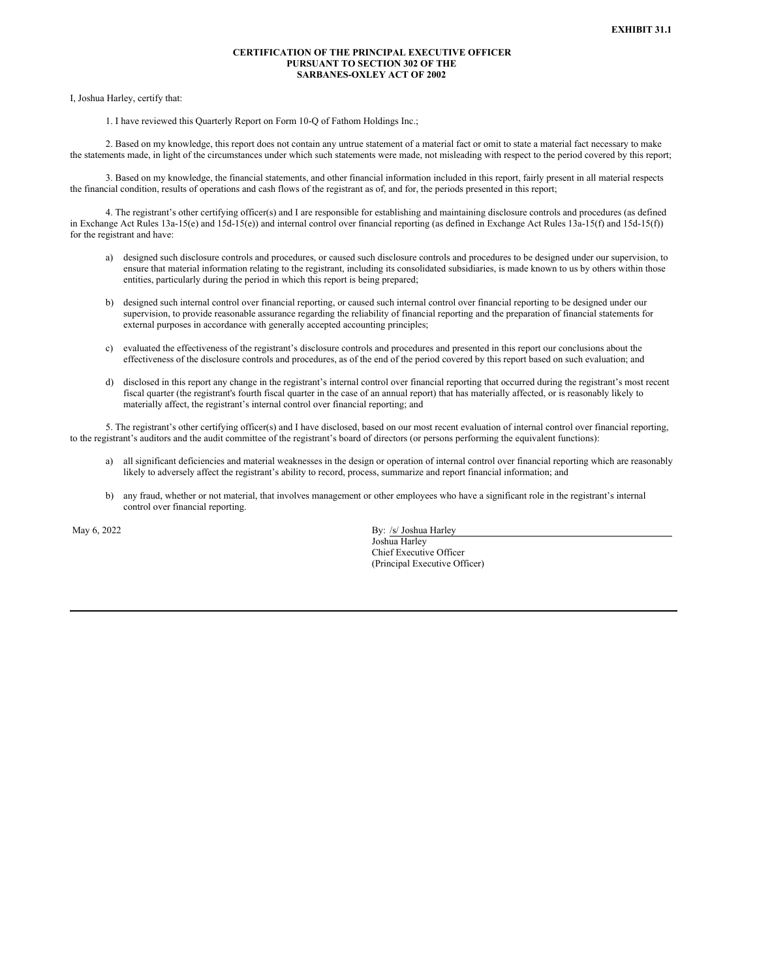### **CERTIFICATION OF THE PRINCIPAL EXECUTIVE OFFICER PURSUANT TO SECTION 302 OF THE SARBANES-OXLEY ACT OF 2002**

<span id="page-32-0"></span>I, Joshua Harley, certify that:

1. I have reviewed this Quarterly Report on Form 10-Q of Fathom Holdings Inc.;

2. Based on my knowledge, this report does not contain any untrue statement of a material fact or omit to state a material fact necessary to make the statements made, in light of the circumstances under which such statements were made, not misleading with respect to the period covered by this report;

3. Based on my knowledge, the financial statements, and other financial information included in this report, fairly present in all material respects the financial condition, results of operations and cash flows of the registrant as of, and for, the periods presented in this report;

4. The registrant's other certifying officer(s) and I are responsible for establishing and maintaining disclosure controls and procedures (as defined in Exchange Act Rules 13a-15(e) and 15d-15(e)) and internal control over financial reporting (as defined in Exchange Act Rules 13a-15(f) and 15d-15(f)) for the registrant and have:

- a) designed such disclosure controls and procedures, or caused such disclosure controls and procedures to be designed under our supervision, to ensure that material information relating to the registrant, including its consolidated subsidiaries, is made known to us by others within those entities, particularly during the period in which this report is being prepared;
- b) designed such internal control over financial reporting, or caused such internal control over financial reporting to be designed under our supervision, to provide reasonable assurance regarding the reliability of financial reporting and the preparation of financial statements for external purposes in accordance with generally accepted accounting principles;
- c) evaluated the effectiveness of the registrant's disclosure controls and procedures and presented in this report our conclusions about the effectiveness of the disclosure controls and procedures, as of the end of the period covered by this report based on such evaluation; and
- d) disclosed in this report any change in the registrant's internal control over financial reporting that occurred during the registrant's most recent fiscal quarter (the registrant's fourth fiscal quarter in the case of an annual report) that has materially affected, or is reasonably likely to materially affect, the registrant's internal control over financial reporting; and

5. The registrant's other certifying officer(s) and I have disclosed, based on our most recent evaluation of internal control over financial reporting, to the registrant's auditors and the audit committee of the registrant's board of directors (or persons performing the equivalent functions):

- a) all significant deficiencies and material weaknesses in the design or operation of internal control over financial reporting which are reasonably likely to adversely affect the registrant's ability to record, process, summarize and report financial information; and
- b) any fraud, whether or not material, that involves management or other employees who have a significant role in the registrant's internal control over financial reporting.

May 6, 2022 By: /s/ Joshua Harley Joshua Harley Chief Executive Officer (Principal Executive Officer)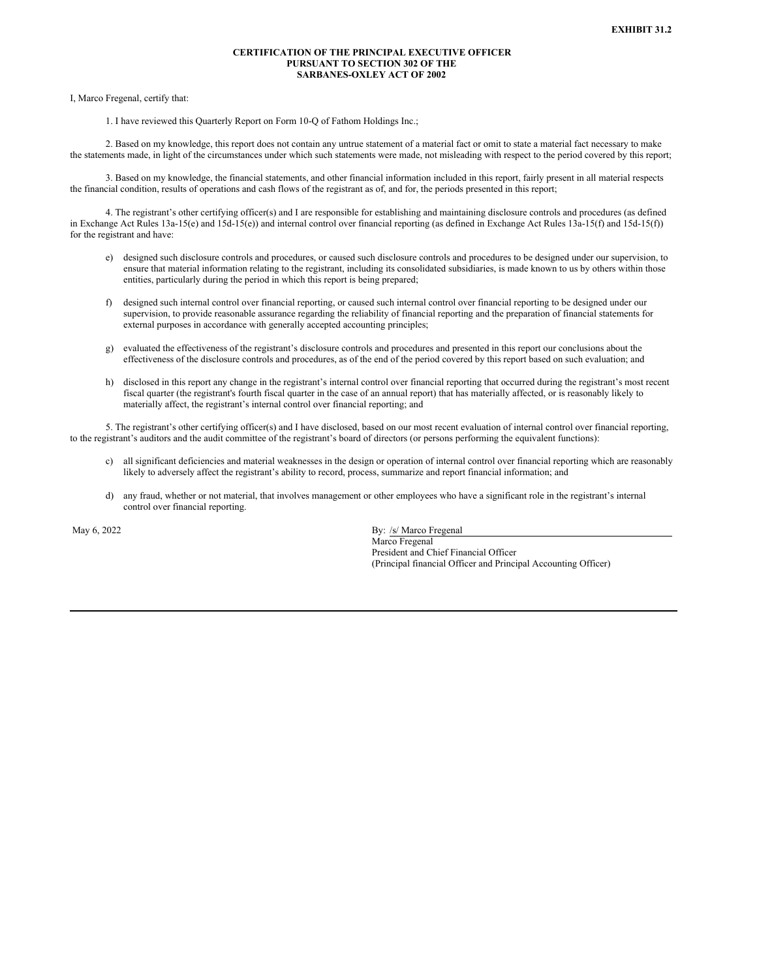### **CERTIFICATION OF THE PRINCIPAL EXECUTIVE OFFICER PURSUANT TO SECTION 302 OF THE SARBANES-OXLEY ACT OF 2002**

<span id="page-33-0"></span>I, Marco Fregenal, certify that:

1. I have reviewed this Quarterly Report on Form 10-Q of Fathom Holdings Inc.;

2. Based on my knowledge, this report does not contain any untrue statement of a material fact or omit to state a material fact necessary to make the statements made, in light of the circumstances under which such statements were made, not misleading with respect to the period covered by this report;

3. Based on my knowledge, the financial statements, and other financial information included in this report, fairly present in all material respects the financial condition, results of operations and cash flows of the registrant as of, and for, the periods presented in this report;

4. The registrant's other certifying officer(s) and I are responsible for establishing and maintaining disclosure controls and procedures (as defined in Exchange Act Rules 13a-15(e) and 15d-15(e)) and internal control over financial reporting (as defined in Exchange Act Rules 13a-15(f) and 15d-15(f)) for the registrant and have:

- e) designed such disclosure controls and procedures, or caused such disclosure controls and procedures to be designed under our supervision, to ensure that material information relating to the registrant, including its consolidated subsidiaries, is made known to us by others within those entities, particularly during the period in which this report is being prepared;
- f) designed such internal control over financial reporting, or caused such internal control over financial reporting to be designed under our supervision, to provide reasonable assurance regarding the reliability of financial reporting and the preparation of financial statements for external purposes in accordance with generally accepted accounting principles;
- g) evaluated the effectiveness of the registrant's disclosure controls and procedures and presented in this report our conclusions about the effectiveness of the disclosure controls and procedures, as of the end of the period covered by this report based on such evaluation; and
- h) disclosed in this report any change in the registrant's internal control over financial reporting that occurred during the registrant's most recent fiscal quarter (the registrant's fourth fiscal quarter in the case of an annual report) that has materially affected, or is reasonably likely to materially affect, the registrant's internal control over financial reporting; and

5. The registrant's other certifying officer(s) and I have disclosed, based on our most recent evaluation of internal control over financial reporting, to the registrant's auditors and the audit committee of the registrant's board of directors (or persons performing the equivalent functions):

- c) all significant deficiencies and material weaknesses in the design or operation of internal control over financial reporting which are reasonably likely to adversely affect the registrant's ability to record, process, summarize and report financial information; and
- d) any fraud, whether or not material, that involves management or other employees who have a significant role in the registrant's internal control over financial reporting.

May 6, 2022 By: /s/ Marco Fregenal Marco Fregenal President and Chief Financial Officer (Principal financial Officer and Principal Accounting Officer)